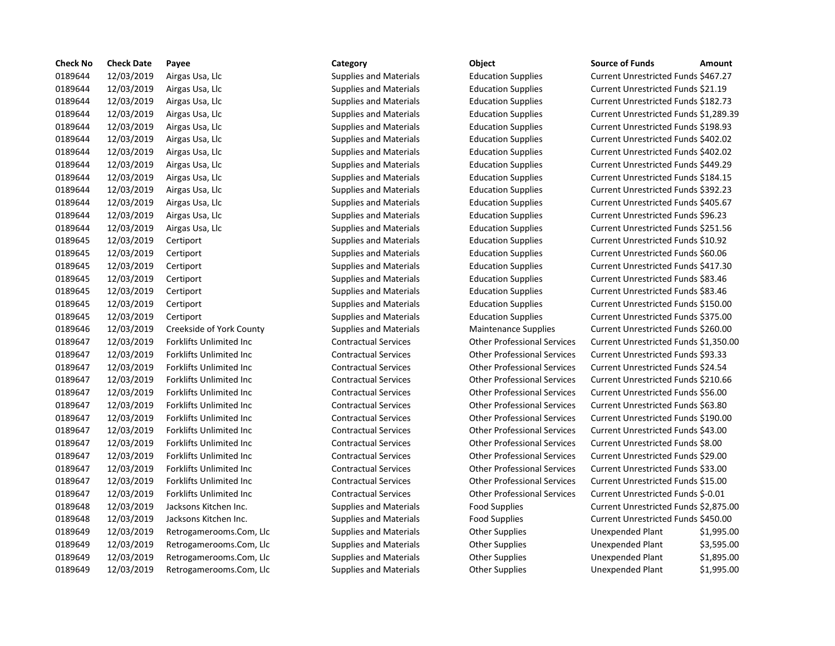| <b>Check No</b> | <b>Check Date</b> | Payee                           | Category                      | Object                             | <b>Source of Funds</b>               | Amount    |
|-----------------|-------------------|---------------------------------|-------------------------------|------------------------------------|--------------------------------------|-----------|
| 0189644         | 12/03/2019        | Airgas Usa, Llc                 | <b>Supplies and Materials</b> | <b>Education Supplies</b>          | Current Unrestricted Funds \$467.27  |           |
| 0189644         | 12/03/2019        | Airgas Usa, Llc                 | Supplies and Materials        | <b>Education Supplies</b>          | Current Unrestricted Funds \$21.19   |           |
| 0189644         | 12/03/2019        | Airgas Usa, Llc                 | <b>Supplies and Materials</b> | <b>Education Supplies</b>          | Current Unrestricted Funds \$182.73  |           |
| 0189644         | 12/03/2019        | Airgas Usa, Llc                 | <b>Supplies and Materials</b> | <b>Education Supplies</b>          | Current Unrestricted Funds \$1,289.3 |           |
| 0189644         | 12/03/2019        | Airgas Usa, Llc                 | <b>Supplies and Materials</b> | <b>Education Supplies</b>          | Current Unrestricted Funds \$198.93  |           |
| 0189644         | 12/03/2019        | Airgas Usa, Llc                 | <b>Supplies and Materials</b> | <b>Education Supplies</b>          | Current Unrestricted Funds \$402.02  |           |
| 0189644         | 12/03/2019        | Airgas Usa, Llc                 | <b>Supplies and Materials</b> | <b>Education Supplies</b>          | Current Unrestricted Funds \$402.02  |           |
| 0189644         | 12/03/2019        | Airgas Usa, Llc                 | <b>Supplies and Materials</b> | <b>Education Supplies</b>          | Current Unrestricted Funds \$449.29  |           |
| 0189644         | 12/03/2019        | Airgas Usa, Llc                 | <b>Supplies and Materials</b> | <b>Education Supplies</b>          | Current Unrestricted Funds \$184.15  |           |
| 0189644         | 12/03/2019        | Airgas Usa, Llc                 | <b>Supplies and Materials</b> | <b>Education Supplies</b>          | Current Unrestricted Funds \$392.23  |           |
| 0189644         | 12/03/2019        | Airgas Usa, Llc                 | <b>Supplies and Materials</b> | <b>Education Supplies</b>          | Current Unrestricted Funds \$405.67  |           |
| 0189644         | 12/03/2019        | Airgas Usa, Llc                 | <b>Supplies and Materials</b> | <b>Education Supplies</b>          | Current Unrestricted Funds \$96.23   |           |
| 0189644         | 12/03/2019        | Airgas Usa, Llc                 | <b>Supplies and Materials</b> | <b>Education Supplies</b>          | Current Unrestricted Funds \$251.56  |           |
| 0189645         | 12/03/2019        | Certiport                       | <b>Supplies and Materials</b> | <b>Education Supplies</b>          | Current Unrestricted Funds \$10.92   |           |
| 0189645         | 12/03/2019        | Certiport                       | <b>Supplies and Materials</b> | <b>Education Supplies</b>          | Current Unrestricted Funds \$60.06   |           |
| 0189645         | 12/03/2019        | Certiport                       | <b>Supplies and Materials</b> | <b>Education Supplies</b>          | Current Unrestricted Funds \$417.30  |           |
| 0189645         | 12/03/2019        | Certiport                       | <b>Supplies and Materials</b> | <b>Education Supplies</b>          | Current Unrestricted Funds \$83.46   |           |
| 0189645         | 12/03/2019        | Certiport                       | <b>Supplies and Materials</b> | <b>Education Supplies</b>          | Current Unrestricted Funds \$83.46   |           |
| 0189645         | 12/03/2019        | Certiport                       | <b>Supplies and Materials</b> | <b>Education Supplies</b>          | Current Unrestricted Funds \$150.00  |           |
| 0189645         | 12/03/2019        | Certiport                       | <b>Supplies and Materials</b> | <b>Education Supplies</b>          | Current Unrestricted Funds \$375.00  |           |
| 0189646         | 12/03/2019        | Creekside of York County        | <b>Supplies and Materials</b> | <b>Maintenance Supplies</b>        | Current Unrestricted Funds \$260.00  |           |
| 0189647         | 12/03/2019        | <b>Forklifts Unlimited Inc</b>  | <b>Contractual Services</b>   | <b>Other Professional Services</b> | Current Unrestricted Funds \$1,350.0 |           |
| 0189647         | 12/03/2019        | Forklifts Unlimited Inc         | <b>Contractual Services</b>   | <b>Other Professional Services</b> | Current Unrestricted Funds \$93.33   |           |
| 0189647         | 12/03/2019        | Forklifts Unlimited Inc         | <b>Contractual Services</b>   | <b>Other Professional Services</b> | Current Unrestricted Funds \$24.54   |           |
| 0189647         | 12/03/2019        | Forklifts Unlimited Inc         | <b>Contractual Services</b>   | <b>Other Professional Services</b> | Current Unrestricted Funds \$210.66  |           |
| 0189647         | 12/03/2019        | Forklifts Unlimited Inc         | <b>Contractual Services</b>   | <b>Other Professional Services</b> | Current Unrestricted Funds \$56.00   |           |
| 0189647         | 12/03/2019        | Forklifts Unlimited Inc         | <b>Contractual Services</b>   | <b>Other Professional Services</b> | Current Unrestricted Funds \$63.80   |           |
| 0189647         | 12/03/2019        | Forklifts Unlimited Inc         | <b>Contractual Services</b>   | <b>Other Professional Services</b> | Current Unrestricted Funds \$190.00  |           |
| 0189647         | 12/03/2019        | Forklifts Unlimited Inc         | <b>Contractual Services</b>   | <b>Other Professional Services</b> | Current Unrestricted Funds \$43.00   |           |
| 0189647         | 12/03/2019        | <b>Forklifts Unlimited Inc.</b> | <b>Contractual Services</b>   | <b>Other Professional Services</b> | Current Unrestricted Funds \$8.00    |           |
| 0189647         | 12/03/2019        | Forklifts Unlimited Inc         | <b>Contractual Services</b>   | <b>Other Professional Services</b> | Current Unrestricted Funds \$29.00   |           |
| 0189647         | 12/03/2019        | <b>Forklifts Unlimited Inc.</b> | <b>Contractual Services</b>   | <b>Other Professional Services</b> | Current Unrestricted Funds \$33.00   |           |
| 0189647         | 12/03/2019        | Forklifts Unlimited Inc         | <b>Contractual Services</b>   | <b>Other Professional Services</b> | Current Unrestricted Funds \$15.00   |           |
| 0189647         | 12/03/2019        | <b>Forklifts Unlimited Inc.</b> | <b>Contractual Services</b>   | <b>Other Professional Services</b> | Current Unrestricted Funds \$-0.01   |           |
| 0189648         | 12/03/2019        | Jacksons Kitchen Inc.           | <b>Supplies and Materials</b> | <b>Food Supplies</b>               | Current Unrestricted Funds \$2,875.0 |           |
| 0189648         | 12/03/2019        | Jacksons Kitchen Inc.           | <b>Supplies and Materials</b> | <b>Food Supplies</b>               | Current Unrestricted Funds \$450.00  |           |
| 0189649         | 12/03/2019        | Retrogamerooms.Com, Llc         | <b>Supplies and Materials</b> | <b>Other Supplies</b>              | Unexpended Plant                     | \$1,995.0 |
| 0189649         | 12/03/2019        | Retrogamerooms.Com, Llc         | <b>Supplies and Materials</b> | <b>Other Supplies</b>              | Unexpended Plant                     | \$3,595.0 |
| 0189649         | 12/03/2019        | Retrogamerooms.Com, Llc         | <b>Supplies and Materials</b> | <b>Other Supplies</b>              | Unexpended Plant                     | \$1,895.0 |
| 0189649         | 12/03/2019        | Retrogamerooms Com Ilc          | <b>Supplies and Materials</b> | Other Sunnlies                     | <b>Unexpended Plant</b>              | \$19950   |

| Category |  |
|----------|--|
|----------|--|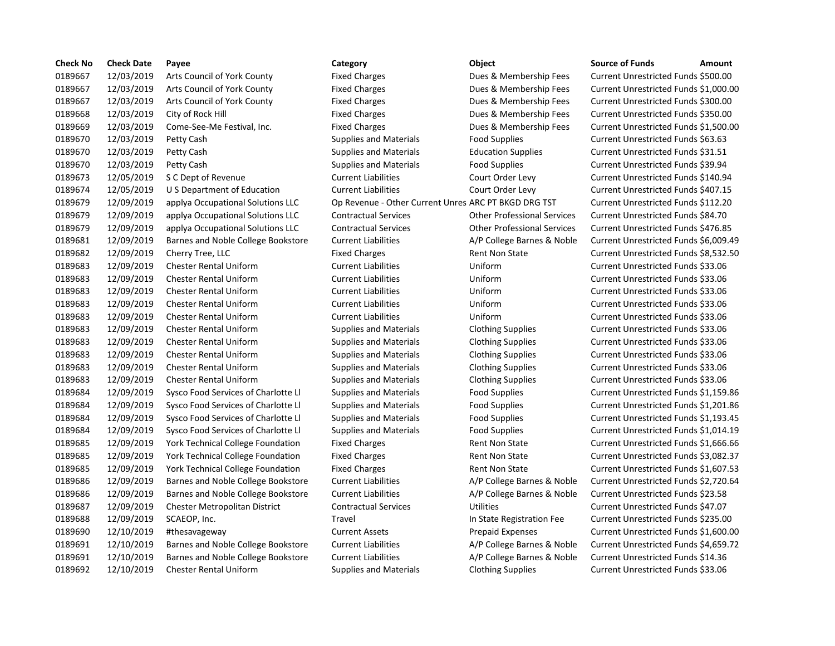| <b>Check No</b> | <b>Check Date</b> | Payee                                    | Category                                             | Object                             | <b>Source of Funds</b><br>Amount     |
|-----------------|-------------------|------------------------------------------|------------------------------------------------------|------------------------------------|--------------------------------------|
| 0189667         | 12/03/2019        | Arts Council of York County              | <b>Fixed Charges</b>                                 | Dues & Membership Fees             | Current Unrestricted Funds \$500.00  |
| 0189667         | 12/03/2019        | Arts Council of York County              | <b>Fixed Charges</b>                                 | Dues & Membership Fees             | Current Unrestricted Funds \$1,000.0 |
| 0189667         | 12/03/2019        | Arts Council of York County              | <b>Fixed Charges</b>                                 | Dues & Membership Fees             | Current Unrestricted Funds \$300.00  |
| 0189668         | 12/03/2019        | City of Rock Hill                        | <b>Fixed Charges</b>                                 | Dues & Membership Fees             | Current Unrestricted Funds \$350.00  |
| 0189669         | 12/03/2019        | Come-See-Me Festival, Inc.               | <b>Fixed Charges</b>                                 | Dues & Membership Fees             | Current Unrestricted Funds \$1,500.0 |
| 0189670         | 12/03/2019        | Petty Cash                               | <b>Supplies and Materials</b>                        | Food Supplies                      | Current Unrestricted Funds \$63.63   |
| 0189670         | 12/03/2019        | Petty Cash                               | <b>Supplies and Materials</b>                        | <b>Education Supplies</b>          | Current Unrestricted Funds \$31.51   |
| 0189670         | 12/03/2019        | Petty Cash                               | <b>Supplies and Materials</b>                        | Food Supplies                      | Current Unrestricted Funds \$39.94   |
| 0189673         | 12/05/2019        | S C Dept of Revenue                      | <b>Current Liabilities</b>                           | Court Order Levy                   | Current Unrestricted Funds \$140.94  |
| 0189674         | 12/05/2019        | U S Department of Education              | <b>Current Liabilities</b>                           | Court Order Levy                   | Current Unrestricted Funds \$407.15  |
| 0189679         | 12/09/2019        | applya Occupational Solutions LLC        | Op Revenue - Other Current Unres ARC PT BKGD DRG TST |                                    | Current Unrestricted Funds \$112.20  |
| 0189679         | 12/09/2019        | applya Occupational Solutions LLC        | <b>Contractual Services</b>                          | <b>Other Professional Services</b> | Current Unrestricted Funds \$84.70   |
| 0189679         | 12/09/2019        | applya Occupational Solutions LLC        | <b>Contractual Services</b>                          | <b>Other Professional Services</b> | Current Unrestricted Funds \$476.85  |
| 0189681         | 12/09/2019        | Barnes and Noble College Bookstore       | <b>Current Liabilities</b>                           | A/P College Barnes & Noble         | Current Unrestricted Funds \$6,009.4 |
| 0189682         | 12/09/2019        | Cherry Tree, LLC                         | <b>Fixed Charges</b>                                 | <b>Rent Non State</b>              | Current Unrestricted Funds \$8,532.5 |
| 0189683         | 12/09/2019        | <b>Chester Rental Uniform</b>            | <b>Current Liabilities</b>                           | Uniform                            | Current Unrestricted Funds \$33.06   |
| 0189683         | 12/09/2019        | <b>Chester Rental Uniform</b>            | <b>Current Liabilities</b>                           | Uniform                            | Current Unrestricted Funds \$33.06   |
| 0189683         | 12/09/2019        | <b>Chester Rental Uniform</b>            | <b>Current Liabilities</b>                           | Uniform                            | Current Unrestricted Funds \$33.06   |
| 0189683         | 12/09/2019        | <b>Chester Rental Uniform</b>            | <b>Current Liabilities</b>                           | Uniform                            | Current Unrestricted Funds \$33.06   |
| 0189683         | 12/09/2019        | <b>Chester Rental Uniform</b>            | <b>Current Liabilities</b>                           | Uniform                            | Current Unrestricted Funds \$33.06   |
| 0189683         | 12/09/2019        | <b>Chester Rental Uniform</b>            | <b>Supplies and Materials</b>                        | <b>Clothing Supplies</b>           | Current Unrestricted Funds \$33.06   |
| 0189683         | 12/09/2019        | <b>Chester Rental Uniform</b>            | <b>Supplies and Materials</b>                        | <b>Clothing Supplies</b>           | Current Unrestricted Funds \$33.06   |
| 0189683         | 12/09/2019        | <b>Chester Rental Uniform</b>            | <b>Supplies and Materials</b>                        | <b>Clothing Supplies</b>           | Current Unrestricted Funds \$33.06   |
| 0189683         | 12/09/2019        | <b>Chester Rental Uniform</b>            | <b>Supplies and Materials</b>                        | <b>Clothing Supplies</b>           | Current Unrestricted Funds \$33.06   |
| 0189683         | 12/09/2019        | <b>Chester Rental Uniform</b>            | <b>Supplies and Materials</b>                        | <b>Clothing Supplies</b>           | Current Unrestricted Funds \$33.06   |
| 0189684         | 12/09/2019        | Sysco Food Services of Charlotte Ll      | <b>Supplies and Materials</b>                        | <b>Food Supplies</b>               | Current Unrestricted Funds \$1,159.8 |
| 0189684         | 12/09/2019        | Sysco Food Services of Charlotte Ll      | <b>Supplies and Materials</b>                        | <b>Food Supplies</b>               | 201.8 Current Unrestricted Funds     |
| 0189684         | 12/09/2019        | Sysco Food Services of Charlotte Ll      | <b>Supplies and Materials</b>                        | Food Supplies                      | Current Unrestricted Funds \$1,193.4 |
| 0189684         | 12/09/2019        | Sysco Food Services of Charlotte Ll      | <b>Supplies and Materials</b>                        | Food Supplies                      | Current Unrestricted Funds \$1,014.1 |
| 0189685         | 12/09/2019        | <b>York Technical College Foundation</b> | <b>Fixed Charges</b>                                 | <b>Rent Non State</b>              | Current Unrestricted Funds \$1,666.6 |
| 0189685         | 12/09/2019        | York Technical College Foundation        | <b>Fixed Charges</b>                                 | <b>Rent Non State</b>              | Current Unrestricted Funds \$3,082.3 |
| 0189685         | 12/09/2019        | York Technical College Foundation        | <b>Fixed Charges</b>                                 | <b>Rent Non State</b>              | Current Unrestricted Funds \$1,607.5 |
| 0189686         | 12/09/2019        | Barnes and Noble College Bookstore       | <b>Current Liabilities</b>                           | A/P College Barnes & Noble         | Current Unrestricted Funds \$2,720.6 |
| 0189686         | 12/09/2019        | Barnes and Noble College Bookstore       | <b>Current Liabilities</b>                           | A/P College Barnes & Noble         | Current Unrestricted Funds \$23.58   |
| 0189687         | 12/09/2019        | Chester Metropolitan District            | <b>Contractual Services</b>                          | <b>Utilities</b>                   | Current Unrestricted Funds \$47.07   |
| 0189688         | 12/09/2019        | SCAEOP, Inc.                             | Travel                                               | In State Registration Fee          | Current Unrestricted Funds \$235.00  |
| 0189690         | 12/10/2019        | #thesavageway                            | <b>Current Assets</b>                                | <b>Prepaid Expenses</b>            | Current Unrestricted Funds \$1,600.0 |
| 0189691         | 12/10/2019        | Barnes and Noble College Bookstore       | <b>Current Liabilities</b>                           | A/P College Barnes & Noble         | Current Unrestricted Funds \$4,659.7 |
| 0189691         | 12/10/2019        | Barnes and Noble College Bookstore       | <b>Current Liabilities</b>                           | A/P College Barnes & Noble         | Current Unrestricted Funds \$14.36   |
| 0189692         | 12/10/2019        | <b>Chester Rental Uniform</b>            | <b>Supplies and Materials</b>                        | <b>Clothing Supplies</b>           | Current Unrestricted Funds \$33.06   |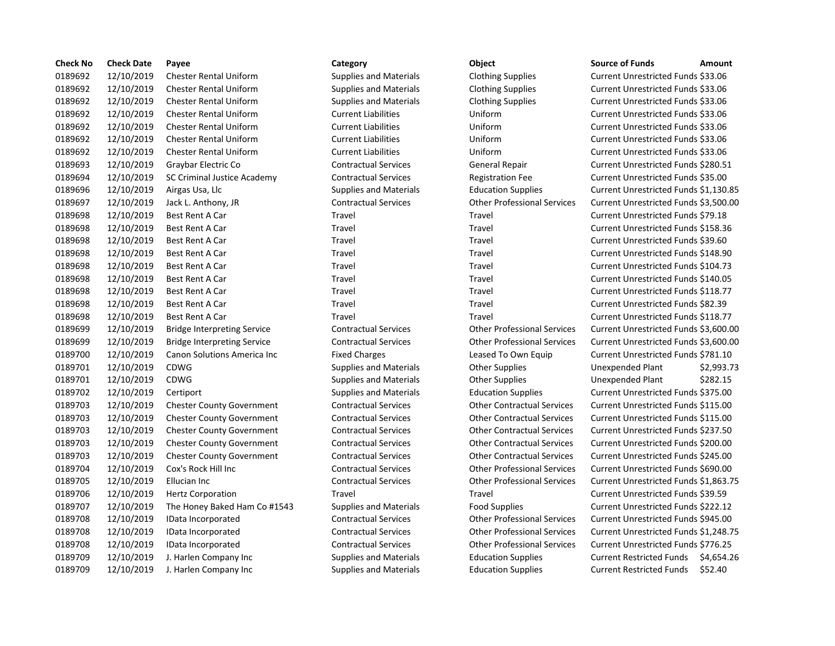| <b>Check No</b> | <b>Check Date</b> | Payee                              | Category                      | Object                             | <b>Source of Funds</b><br>Amount             |
|-----------------|-------------------|------------------------------------|-------------------------------|------------------------------------|----------------------------------------------|
| 0189692         | 12/10/2019        | <b>Chester Rental Uniform</b>      | <b>Supplies and Materials</b> | <b>Clothing Supplies</b>           | Current Unrestricted Funds \$33.06           |
| 0189692         | 12/10/2019        | <b>Chester Rental Uniform</b>      | <b>Supplies and Materials</b> | <b>Clothing Supplies</b>           | Current Unrestricted Funds \$33.06           |
| 0189692         | 12/10/2019        | <b>Chester Rental Uniform</b>      | <b>Supplies and Materials</b> | <b>Clothing Supplies</b>           | Current Unrestricted Funds \$33.06           |
| 0189692         | 12/10/2019        | <b>Chester Rental Uniform</b>      | <b>Current Liabilities</b>    | Uniform                            | Current Unrestricted Funds \$33.06           |
| 0189692         | 12/10/2019        | <b>Chester Rental Uniform</b>      | <b>Current Liabilities</b>    | Uniform                            | Current Unrestricted Funds \$33.06           |
| 0189692         | 12/10/2019        | <b>Chester Rental Uniform</b>      | <b>Current Liabilities</b>    | Uniform                            | Current Unrestricted Funds \$33.06           |
| 0189692         | 12/10/2019        | <b>Chester Rental Uniform</b>      | <b>Current Liabilities</b>    | Uniform                            | Current Unrestricted Funds \$33.06           |
| 0189693         | 12/10/2019        | Graybar Electric Co                | <b>Contractual Services</b>   | <b>General Repair</b>              | Current Unrestricted Funds \$280.51          |
| 0189694         | 12/10/2019        | SC Criminal Justice Academy        | <b>Contractual Services</b>   | <b>Registration Fee</b>            | Current Unrestricted Funds \$35.00           |
| 0189696         | 12/10/2019        | Airgas Usa, Llc                    | <b>Supplies and Materials</b> | <b>Education Supplies</b>          | Current Unrestricted Funds \$1,130.8         |
| 0189697         | 12/10/2019        | Jack L. Anthony, JR                | <b>Contractual Services</b>   | <b>Other Professional Services</b> | Current Unrestricted Funds \$3,500.0         |
| 0189698         | 12/10/2019        | <b>Best Rent A Car</b>             | Travel                        | Travel                             | Current Unrestricted Funds \$79.18           |
| 0189698         | 12/10/2019        | Best Rent A Car                    | Travel                        | Travel                             | Current Unrestricted Funds \$158.36          |
| 0189698         | 12/10/2019        | <b>Best Rent A Car</b>             | Travel                        | Travel                             | Current Unrestricted Funds \$39.60           |
| 0189698         | 12/10/2019        | <b>Best Rent A Car</b>             | Travel                        | Travel                             | Current Unrestricted Funds \$148.90          |
| 0189698         | 12/10/2019        | Best Rent A Car                    | Travel                        | Travel                             | Current Unrestricted Funds \$104.73          |
| 0189698         | 12/10/2019        | <b>Best Rent A Car</b>             | Travel                        | Travel                             | Current Unrestricted Funds \$140.05          |
| 0189698         | 12/10/2019        | <b>Best Rent A Car</b>             | Travel                        | Travel                             | Current Unrestricted Funds \$118.77          |
| 0189698         | 12/10/2019        | Best Rent A Car                    | Travel                        | Travel                             | Current Unrestricted Funds \$82.39           |
| 0189698         | 12/10/2019        | <b>Best Rent A Car</b>             | Travel                        | Travel                             | Current Unrestricted Funds \$118.77          |
| 0189699         | 12/10/2019        | <b>Bridge Interpreting Service</b> | <b>Contractual Services</b>   | <b>Other Professional Services</b> | Current Unrestricted Funds \$3,600.0         |
| 0189699         | 12/10/2019        | <b>Bridge Interpreting Service</b> | <b>Contractual Services</b>   | <b>Other Professional Services</b> | Current Unrestricted Funds \$3,600.0         |
| 0189700         | 12/10/2019        | Canon Solutions America Inc        | <b>Fixed Charges</b>          | Leased To Own Equip                | Current Unrestricted Funds \$781.10          |
| 0189701         | 12/10/2019        | CDWG                               | <b>Supplies and Materials</b> | <b>Other Supplies</b>              | \$2,993.7<br><b>Unexpended Plant</b>         |
| 0189701         | 12/10/2019        | CDWG                               | <b>Supplies and Materials</b> | <b>Other Supplies</b>              | \$282.15<br>Unexpended Plant                 |
| 0189702         | 12/10/2019        | Certiport                          | <b>Supplies and Materials</b> | <b>Education Supplies</b>          | Current Unrestricted Funds \$375.00          |
| 0189703         | 12/10/2019        | <b>Chester County Government</b>   | <b>Contractual Services</b>   | <b>Other Contractual Services</b>  | Current Unrestricted Funds \$115.00          |
| 0189703         | 12/10/2019        | <b>Chester County Government</b>   | <b>Contractual Services</b>   | <b>Other Contractual Services</b>  | Current Unrestricted Funds \$115.00          |
| 0189703         | 12/10/2019        | <b>Chester County Government</b>   | <b>Contractual Services</b>   | <b>Other Contractual Services</b>  | Current Unrestricted Funds \$237.50          |
| 0189703         | 12/10/2019        | <b>Chester County Government</b>   | <b>Contractual Services</b>   | <b>Other Contractual Services</b>  | Current Unrestricted Funds \$200.00          |
| 0189703         | 12/10/2019        | <b>Chester County Government</b>   | <b>Contractual Services</b>   | <b>Other Contractual Services</b>  | Current Unrestricted Funds \$245.00          |
| 0189704         | 12/10/2019        | Cox's Rock Hill Inc                | <b>Contractual Services</b>   | <b>Other Professional Services</b> | Current Unrestricted Funds \$690.00          |
| 0189705         | 12/10/2019        | Ellucian Inc                       | <b>Contractual Services</b>   | <b>Other Professional Services</b> | Current Unrestricted Funds \$1,863.7         |
| 0189706         | 12/10/2019        | <b>Hertz Corporation</b>           | Travel                        | Travel                             | Current Unrestricted Funds \$39.59           |
| 0189707         | 12/10/2019        | The Honey Baked Ham Co #1543       | <b>Supplies and Materials</b> | Food Supplies                      | Current Unrestricted Funds \$222.12          |
| 0189708         | 12/10/2019        | IData Incorporated                 | <b>Contractual Services</b>   | <b>Other Professional Services</b> | Current Unrestricted Funds \$945.00          |
| 0189708         | 12/10/2019        | IData Incorporated                 | <b>Contractual Services</b>   | <b>Other Professional Services</b> | Current Unrestricted Funds \$1,248.7         |
| 0189708         | 12/10/2019        | IData Incorporated                 | <b>Contractual Services</b>   | <b>Other Professional Services</b> | Current Unrestricted Funds \$776.25          |
| 0189709         | 12/10/2019        | J. Harlen Company Inc              | <b>Supplies and Materials</b> | <b>Education Supplies</b>          | <b>Current Restricted Funds</b><br>\$4,654.2 |
| 0189709         | 12/10/2019        | J. Harlen Company Inc              | <b>Supplies and Materials</b> | <b>Education Supplies</b>          | \$52.40<br><b>Current Restricted Funds</b>   |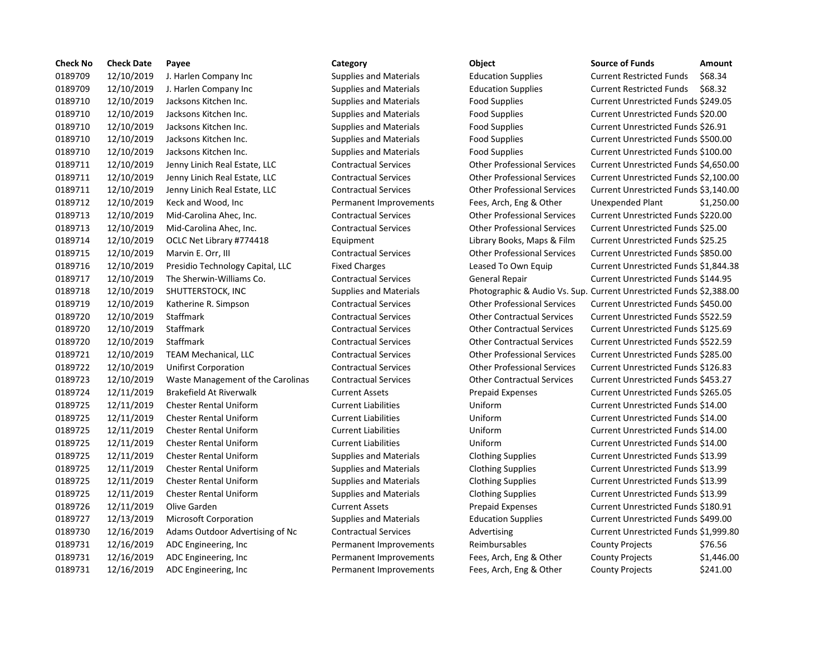| <b>Check No</b> | <b>Check Date</b> | Payee                             | Category                      | Object                                                            | <b>Source of Funds</b>               | Amount    |
|-----------------|-------------------|-----------------------------------|-------------------------------|-------------------------------------------------------------------|--------------------------------------|-----------|
| 0189709         | 12/10/2019        | J. Harlen Company Inc             | <b>Supplies and Materials</b> | <b>Education Supplies</b>                                         | <b>Current Restricted Funds</b>      | \$68.34   |
| 0189709         | 12/10/2019        | J. Harlen Company Inc             | <b>Supplies and Materials</b> | <b>Education Supplies</b>                                         | <b>Current Restricted Funds</b>      | \$68.32   |
| 0189710         | 12/10/2019        | Jacksons Kitchen Inc.             | <b>Supplies and Materials</b> | <b>Food Supplies</b>                                              | Current Unrestricted Funds \$249.05  |           |
| 0189710         | 12/10/2019        | Jacksons Kitchen Inc.             | <b>Supplies and Materials</b> | <b>Food Supplies</b>                                              | Current Unrestricted Funds \$20.00   |           |
| 0189710         | 12/10/2019        | Jacksons Kitchen Inc.             | <b>Supplies and Materials</b> | <b>Food Supplies</b>                                              | Current Unrestricted Funds \$26.91   |           |
| 0189710         | 12/10/2019        | Jacksons Kitchen Inc.             | <b>Supplies and Materials</b> | <b>Food Supplies</b>                                              | Current Unrestricted Funds \$500.00  |           |
| 0189710         | 12/10/2019        | Jacksons Kitchen Inc.             | <b>Supplies and Materials</b> | <b>Food Supplies</b>                                              | Current Unrestricted Funds \$100.00  |           |
| 0189711         | 12/10/2019        | Jenny Linich Real Estate, LLC     | <b>Contractual Services</b>   | <b>Other Professional Services</b>                                | Current Unrestricted Funds \$4,650.0 |           |
| 0189711         | 12/10/2019        | Jenny Linich Real Estate, LLC     | <b>Contractual Services</b>   | <b>Other Professional Services</b>                                | Current Unrestricted Funds \$2,100.0 |           |
| 0189711         | 12/10/2019        | Jenny Linich Real Estate, LLC     | <b>Contractual Services</b>   | <b>Other Professional Services</b>                                | Current Unrestricted Funds \$3,140.  |           |
| 0189712         | 12/10/2019        | Keck and Wood, Inc                | Permanent Improvements        | Fees, Arch, Eng & Other                                           | <b>Unexpended Plant</b>              | \$1,250.0 |
| 0189713         | 12/10/2019        | Mid-Carolina Ahec, Inc.           | <b>Contractual Services</b>   | <b>Other Professional Services</b>                                | Current Unrestricted Funds \$220.00  |           |
| 0189713         | 12/10/2019        | Mid-Carolina Ahec, Inc.           | <b>Contractual Services</b>   | <b>Other Professional Services</b>                                | Current Unrestricted Funds \$25.00   |           |
| 0189714         | 12/10/2019        | OCLC Net Library #774418          | Equipment                     | Library Books, Maps & Film                                        | Current Unrestricted Funds \$25.25   |           |
| 0189715         | 12/10/2019        | Marvin E. Orr, III                | <b>Contractual Services</b>   | <b>Other Professional Services</b>                                | Current Unrestricted Funds \$850.00  |           |
| 0189716         | 12/10/2019        | Presidio Technology Capital, LLC  | <b>Fixed Charges</b>          | Leased To Own Equip                                               | Current Unrestricted Funds \$1,844.3 |           |
| 0189717         | 12/10/2019        | The Sherwin-Williams Co.          | <b>Contractual Services</b>   | <b>General Repair</b>                                             | Current Unrestricted Funds \$144.95  |           |
| 0189718         | 12/10/2019        | SHUTTERSTOCK, INC                 | <b>Supplies and Materials</b> | Photographic & Audio Vs. Sup. Current Unrestricted Funds \$2,388. |                                      |           |
| 0189719         | 12/10/2019        | Katherine R. Simpson              | <b>Contractual Services</b>   | <b>Other Professional Services</b>                                | Current Unrestricted Funds \$450.00  |           |
| 0189720         | 12/10/2019        | Staffmark                         | <b>Contractual Services</b>   | <b>Other Contractual Services</b>                                 | Current Unrestricted Funds \$522.59  |           |
| 0189720         | 12/10/2019        | Staffmark                         | <b>Contractual Services</b>   | <b>Other Contractual Services</b>                                 | Current Unrestricted Funds \$125.69  |           |
| 0189720         | 12/10/2019        | Staffmark                         | <b>Contractual Services</b>   | <b>Other Contractual Services</b>                                 | Current Unrestricted Funds \$522.59  |           |
| 0189721         | 12/10/2019        | <b>TEAM Mechanical, LLC</b>       | <b>Contractual Services</b>   | <b>Other Professional Services</b>                                | Current Unrestricted Funds \$285.00  |           |
| 0189722         | 12/10/2019        | <b>Unifirst Corporation</b>       | <b>Contractual Services</b>   | <b>Other Professional Services</b>                                | Current Unrestricted Funds \$126.83  |           |
| 0189723         | 12/10/2019        | Waste Management of the Carolinas | <b>Contractual Services</b>   | <b>Other Contractual Services</b>                                 | Current Unrestricted Funds \$453.27  |           |
| 0189724         | 12/11/2019        | <b>Brakefield At Riverwalk</b>    | <b>Current Assets</b>         | <b>Prepaid Expenses</b>                                           | Current Unrestricted Funds \$265.05  |           |
| 0189725         | 12/11/2019        | <b>Chester Rental Uniform</b>     | <b>Current Liabilities</b>    | Uniform                                                           | Current Unrestricted Funds \$14.00   |           |
| 0189725         | 12/11/2019        | <b>Chester Rental Uniform</b>     | <b>Current Liabilities</b>    | Uniform                                                           | Current Unrestricted Funds \$14.00   |           |
| 0189725         | 12/11/2019        | <b>Chester Rental Uniform</b>     | <b>Current Liabilities</b>    | Uniform                                                           | Current Unrestricted Funds \$14.00   |           |
| 0189725         | 12/11/2019        | <b>Chester Rental Uniform</b>     | <b>Current Liabilities</b>    | Uniform                                                           | Current Unrestricted Funds \$14.00   |           |
| 0189725         | 12/11/2019        | <b>Chester Rental Uniform</b>     | <b>Supplies and Materials</b> | <b>Clothing Supplies</b>                                          | Current Unrestricted Funds \$13.99   |           |
| 0189725         | 12/11/2019        | <b>Chester Rental Uniform</b>     | <b>Supplies and Materials</b> | <b>Clothing Supplies</b>                                          | Current Unrestricted Funds \$13.99   |           |
| 0189725         | 12/11/2019        | <b>Chester Rental Uniform</b>     | <b>Supplies and Materials</b> | <b>Clothing Supplies</b>                                          | Current Unrestricted Funds \$13.99   |           |
| 0189725         | 12/11/2019        | <b>Chester Rental Uniform</b>     | <b>Supplies and Materials</b> | <b>Clothing Supplies</b>                                          | Current Unrestricted Funds \$13.99   |           |
| 0189726         | 12/11/2019        | Olive Garden                      | <b>Current Assets</b>         | <b>Prepaid Expenses</b>                                           | Current Unrestricted Funds \$180.91  |           |
| 0189727         | 12/13/2019        | <b>Microsoft Corporation</b>      | <b>Supplies and Materials</b> | <b>Education Supplies</b>                                         | Current Unrestricted Funds \$499.00  |           |
| 0189730         | 12/16/2019        | Adams Outdoor Advertising of Nc   | <b>Contractual Services</b>   | Advertising                                                       | Current Unrestricted Funds \$1,999.8 |           |
| 0189731         | 12/16/2019        | ADC Engineering, Inc.             | Permanent Improvements        | Reimbursables                                                     | <b>County Projects</b>               | \$76.56   |
| 0189731         | 12/16/2019        | ADC Engineering, Inc              | Permanent Improvements        | Fees, Arch, Eng & Other                                           | <b>County Projects</b>               | \$1,446.0 |
| 0189731         | 12/16/2019        | ADC Engineering, Inc.             | Permanent Improvements        | Fees, Arch, Eng & Other                                           | <b>County Projects</b>               | \$241.00  |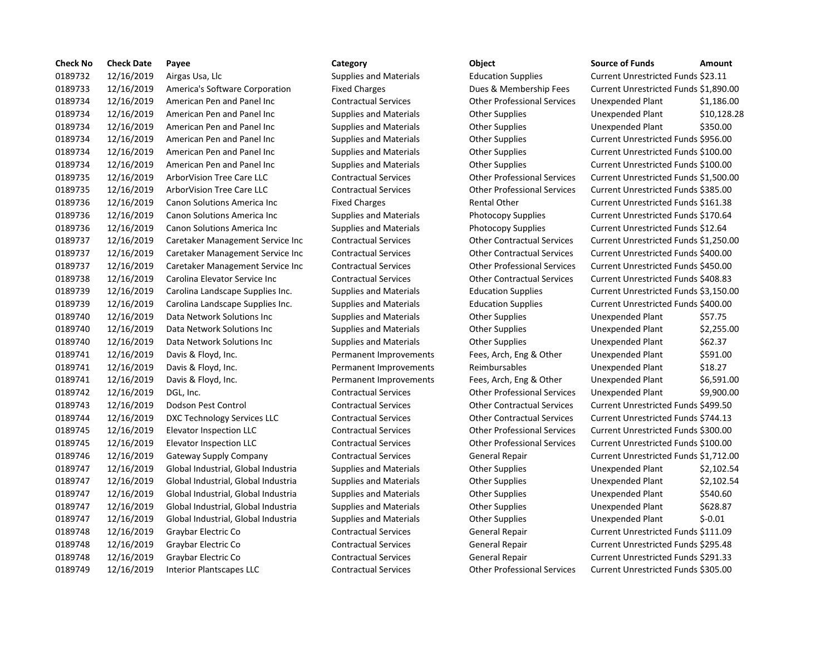| <b>Check No</b> | <b>Check Date</b> | Payee                               | Category                      | Object                             | <b>Source of Funds</b>                | Amount      |
|-----------------|-------------------|-------------------------------------|-------------------------------|------------------------------------|---------------------------------------|-------------|
| 0189732         | 12/16/2019        | Airgas Usa, Llc                     | <b>Supplies and Materials</b> | <b>Education Supplies</b>          | Current Unrestricted Funds \$23.11    |             |
| 0189733         | 12/16/2019        | America's Software Corporation      | <b>Fixed Charges</b>          | Dues & Membership Fees             | Current Unrestricted Funds \$1,890.00 |             |
| 0189734         | 12/16/2019        | American Pen and Panel Inc          | <b>Contractual Services</b>   | <b>Other Professional Services</b> | Unexpended Plant                      | \$1,186.00  |
| 0189734         | 12/16/2019        | American Pen and Panel Inc          | <b>Supplies and Materials</b> | <b>Other Supplies</b>              | Unexpended Plant                      | \$10,128.28 |
| 0189734         | 12/16/2019        | American Pen and Panel Inc          | <b>Supplies and Materials</b> | <b>Other Supplies</b>              | Unexpended Plant                      | \$350.00    |
| 0189734         | 12/16/2019        | American Pen and Panel Inc          | <b>Supplies and Materials</b> | <b>Other Supplies</b>              | Current Unrestricted Funds \$956.00   |             |
| 0189734         | 12/16/2019        | American Pen and Panel Inc          | <b>Supplies and Materials</b> | <b>Other Supplies</b>              | Current Unrestricted Funds \$100.00   |             |
| 0189734         | 12/16/2019        | American Pen and Panel Inc          | <b>Supplies and Materials</b> | <b>Other Supplies</b>              | Current Unrestricted Funds \$100.00   |             |
| 0189735         | 12/16/2019        | ArborVision Tree Care LLC           | <b>Contractual Services</b>   | <b>Other Professional Services</b> | Current Unrestricted Funds \$1,500.00 |             |
| 0189735         | 12/16/2019        | Arbor Vision Tree Care LLC          | <b>Contractual Services</b>   | <b>Other Professional Services</b> | Current Unrestricted Funds \$385.00   |             |
| 0189736         | 12/16/2019        | <b>Canon Solutions America Inc.</b> | <b>Fixed Charges</b>          | <b>Rental Other</b>                | Current Unrestricted Funds \$161.38   |             |
| 0189736         | 12/16/2019        | Canon Solutions America Inc         | <b>Supplies and Materials</b> | Photocopy Supplies                 | Current Unrestricted Funds \$170.64   |             |
| 0189736         | 12/16/2019        | Canon Solutions America Inc         | <b>Supplies and Materials</b> | Photocopy Supplies                 | Current Unrestricted Funds \$12.64    |             |
| 0189737         | 12/16/2019        | Caretaker Management Service Inc    | <b>Contractual Services</b>   | <b>Other Contractual Services</b>  | Current Unrestricted Funds \$1,250.00 |             |
| 0189737         | 12/16/2019        | Caretaker Management Service Inc    | <b>Contractual Services</b>   | <b>Other Contractual Services</b>  | Current Unrestricted Funds \$400.00   |             |
| 0189737         | 12/16/2019        | Caretaker Management Service Inc    | <b>Contractual Services</b>   | <b>Other Professional Services</b> | Current Unrestricted Funds \$450.00   |             |
| 0189738         | 12/16/2019        | Carolina Elevator Service Inc       | <b>Contractual Services</b>   | <b>Other Contractual Services</b>  | Current Unrestricted Funds \$408.83   |             |
| 0189739         | 12/16/2019        | Carolina Landscape Supplies Inc.    | <b>Supplies and Materials</b> | <b>Education Supplies</b>          | Current Unrestricted Funds \$3,150.00 |             |
| 0189739         | 12/16/2019        | Carolina Landscape Supplies Inc.    | <b>Supplies and Materials</b> | <b>Education Supplies</b>          | Current Unrestricted Funds \$400.00   |             |
| 0189740         | 12/16/2019        | Data Network Solutions Inc          | <b>Supplies and Materials</b> | <b>Other Supplies</b>              | Unexpended Plant                      | \$57.75     |
| 0189740         | 12/16/2019        | Data Network Solutions Inc          | <b>Supplies and Materials</b> | <b>Other Supplies</b>              | Unexpended Plant                      | \$2,255.00  |
| 0189740         | 12/16/2019        | Data Network Solutions Inc          | <b>Supplies and Materials</b> | <b>Other Supplies</b>              | Unexpended Plant                      | \$62.37     |
| 0189741         | 12/16/2019        | Davis & Floyd, Inc.                 | Permanent Improvements        | Fees, Arch, Eng & Other            | Unexpended Plant                      | \$591.00    |
| 0189741         | 12/16/2019        | Davis & Floyd, Inc.                 | Permanent Improvements        | Reimbursables                      | Unexpended Plant                      | \$18.27     |
| 0189741         | 12/16/2019        | Davis & Floyd, Inc.                 | Permanent Improvements        | Fees, Arch, Eng & Other            | Unexpended Plant                      | \$6,591.00  |
| 0189742         | 12/16/2019        | DGL, Inc.                           | <b>Contractual Services</b>   | <b>Other Professional Services</b> | Unexpended Plant                      | \$9,900.00  |
| 0189743         | 12/16/2019        | Dodson Pest Control                 | <b>Contractual Services</b>   | <b>Other Contractual Services</b>  | Current Unrestricted Funds \$499.50   |             |
| 0189744         | 12/16/2019        | DXC Technology Services LLC         | <b>Contractual Services</b>   | <b>Other Contractual Services</b>  | Current Unrestricted Funds \$744.13   |             |
| 0189745         | 12/16/2019        | Elevator Inspection LLC             | <b>Contractual Services</b>   | <b>Other Professional Services</b> | Current Unrestricted Funds \$300.00   |             |
| 0189745         | 12/16/2019        | <b>Elevator Inspection LLC</b>      | <b>Contractual Services</b>   | <b>Other Professional Services</b> | Current Unrestricted Funds \$100.00   |             |
| 0189746         | 12/16/2019        | <b>Gateway Supply Company</b>       | <b>Contractual Services</b>   | <b>General Repair</b>              | Current Unrestricted Funds \$1,712.00 |             |
| 0189747         | 12/16/2019        | Global Industrial, Global Industria | <b>Supplies and Materials</b> | <b>Other Supplies</b>              | Unexpended Plant                      | \$2,102.54  |
| 0189747         | 12/16/2019        | Global Industrial, Global Industria | Supplies and Materials        | Other Supplies                     | Unexpended Plant                      | \$2,102.54  |
| 0189747         | 12/16/2019        | Global Industrial, Global Industria | <b>Supplies and Materials</b> | <b>Other Supplies</b>              | Unexpended Plant                      | \$540.60    |
| 0189747         | 12/16/2019        | Global Industrial, Global Industria | <b>Supplies and Materials</b> | <b>Other Supplies</b>              | Unexpended Plant                      | \$628.87    |
| 0189747         | 12/16/2019        | Global Industrial, Global Industria | <b>Supplies and Materials</b> | <b>Other Supplies</b>              | Unexpended Plant                      | $$-0.01$    |
| 0189748         | 12/16/2019        | Graybar Electric Co                 | <b>Contractual Services</b>   | General Repair                     | Current Unrestricted Funds \$111.09   |             |
| 0189748         | 12/16/2019        | Graybar Electric Co                 | <b>Contractual Services</b>   | <b>General Repair</b>              | Current Unrestricted Funds \$295.48   |             |
| 0189748         | 12/16/2019        | Graybar Electric Co                 | <b>Contractual Services</b>   | <b>General Repair</b>              | Current Unrestricted Funds \$291.33   |             |
| 0189749         | 12/16/2019        | <b>Interior Plantscapes LLC</b>     | <b>Contractual Services</b>   | <b>Other Professional Services</b> | Current Unrestricted Funds \$305.00   |             |

# 0189732 12/16/2019 Airgas Usa, Llc Supplies and Materials Education Supplies Current Unrestricted Funds \$23.11 Fixed Charges **12019 2018 Blues & Membership Fees** Current Unrestricted Funds \$1,890.00 0189734 12/16/2019 American Pen and Panel Inc Contractual Services Other Professional Services Unexpended Plant \$1,186.00 Supplies and Materials **12019 Complies 12019** Unexpended Plant 5350.00 Supplies and Materials **Current Den and Panel Inc.** Current Unrestricted Funds \$956.00 Supplies and Materials **Canad American Pene and Panel Ince Supplies** Current Unrestricted Funds \$100.00 Supplies and Materials **Current University Current Unrestricted Funds \$100.00** 0189735 12/16/2019 ArborVision Tree Care LLC Contractual Services Other Professional Services Current Unrestricted Funds \$1,500.00 0189735 12/16/2019 ArborVision Tree Care LLC Contractual Services Other Professional Services Current Unrestricted Funds \$385.00 Fixed Charges **12019 12/16/2019 Rental Other** Current Unrestricted Funds \$161.38 Supplies and Materials **Example 2018** Photocopy Supplies Current Unrestricted Funds \$170.64 Supplies and Materials **Example 12.64** Photocopy Supplies **Current Unrestricted Funds \$12.64** Inc Contractual Services **1208** Other Contractual Services Current Unrestricted Funds \$1,250.00 Inc Contractual Services **1208 12/2019** Other Contractual Services Current Unrestricted Funds \$400.00 0189737 12/16/2019 Caretaker Management Service Inc Contractual Services Other Professional Services Current Unrestricted Funds \$450.00 0189738 12/16/2019 Carolina Elevator Service Inc Contractual Services Other Contractual Services Current Unrestricted Funds \$408.83 0189739 12/16/2019 Carolina Landscape Supplies Inc. Supplies and Materials Education Supplies Current Unrestricted Funds \$3,150.00 0189739 12/16/2019 Carolina Landscape Supplies Inc. Supplies and Materials Education Supplies Current Unrestricted Funds \$400.00 Supplies and Materials **Other Supplies Community** Supplies Unexpended Plant \$57.75 Supplies and Materials **Other Supplies Communis Inc.** Unexpended Plant \$2,255.00 Supplies and Materials **Cultions Inc.** Other Supplies **Integrals Inc.** S62.37 Permanent Improvements Fees, Arch, Eng & Other Unexpended Plant \$591.00 Permanent Improvements Reimbursables Unexpended Plant \$18.27 Permanent Improvements Fees, Arch, Eng & Other Unexpended Plant \$6,591.00 0189742 12/16/2019 DGL, Inc. Contractual Services Other Professional Services Unexpended Plant \$9,900.00 0189743 12/16/2019 Dodson Pest Control Contractual Services Other Contractual Services Current Unrestricted Funds \$499.50 0189744 12/16/2019 DXC Technology Services LLC Contractual Services Other Contractual Services Current Unrestricted Funds \$744.13 0189745 12/16/2019 Elevator Inspection LLC Contractual Services Other Professional Services Current Unrestricted Funds \$300.00 0189745 12/16/2019 Elevator Inspection LLC Contractual Services Other Professional Services Current Unrestricted Funds \$100.00 0189746 12/16/2019 Gateway Supply Company Contractual Services General Repair Current Unrestricted Funds \$1,712.00 ia and Supplies and Materials and Other Supplies and Unexpended Plant 52,102.54 ia and Supplies and Materials and Other Supplies and Unexpended Plant 52,102.54 ia 1297 Supplies and Materials Cher Supplies and Diexpended Plant 5540.60 ia 12687 Supplies and Materials Cuber Supplies and Unexpended Plant 5628.87 0189748 12/16/2019 Graybar Electric Co Contractual Services General Repair Current Unrestricted Funds \$111.09 0189748 12/16/2019 Graybar Electric Co Contractual Services General Repair Current Unrestricted Funds \$295.48 0189748 12/16/2019 Graybar Electric Co Contractual Services General Repair Current Unrestricted Funds \$291.33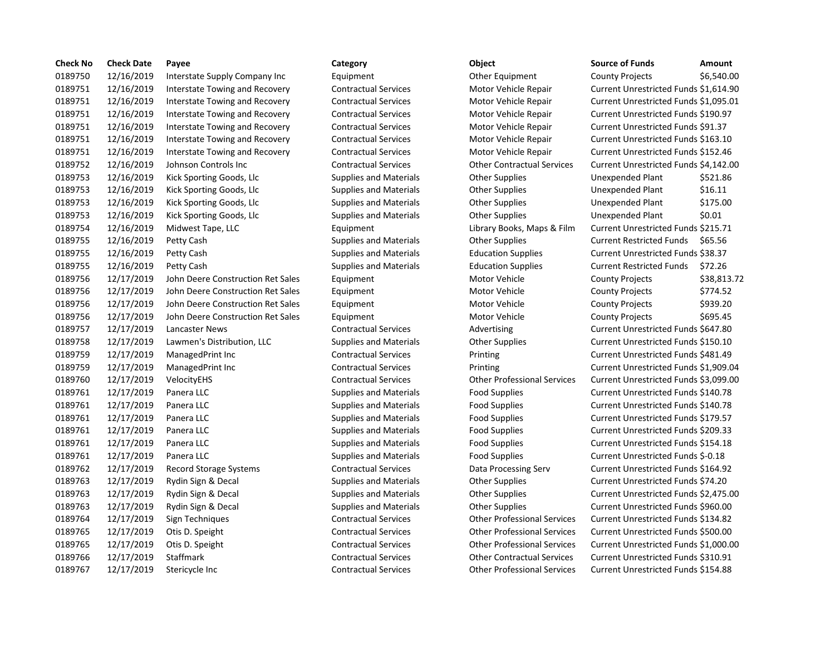| <b>Check No</b> | <b>Check Date</b> | Payee                             | Category                      | Object                             | <b>Source of Funds</b>                | Amount      |
|-----------------|-------------------|-----------------------------------|-------------------------------|------------------------------------|---------------------------------------|-------------|
| 0189750         | 12/16/2019        | Interstate Supply Company Inc     | Equipment                     | Other Equipment                    | <b>County Projects</b>                | \$6,540.00  |
| 0189751         | 12/16/2019        | Interstate Towing and Recovery    | <b>Contractual Services</b>   | Motor Vehicle Repair               | Current Unrestricted Funds \$1,614.90 |             |
| 0189751         | 12/16/2019        | Interstate Towing and Recovery    | <b>Contractual Services</b>   | Motor Vehicle Repair               | Current Unrestricted Funds \$1,095.01 |             |
| 0189751         | 12/16/2019        | Interstate Towing and Recovery    | <b>Contractual Services</b>   | Motor Vehicle Repair               | Current Unrestricted Funds \$190.97   |             |
| 0189751         | 12/16/2019        | Interstate Towing and Recovery    | <b>Contractual Services</b>   | Motor Vehicle Repair               | Current Unrestricted Funds \$91.37    |             |
| 0189751         | 12/16/2019        | Interstate Towing and Recovery    | <b>Contractual Services</b>   | Motor Vehicle Repair               | Current Unrestricted Funds \$163.10   |             |
| 0189751         | 12/16/2019        | Interstate Towing and Recovery    | <b>Contractual Services</b>   | Motor Vehicle Repair               | Current Unrestricted Funds \$152.46   |             |
| 0189752         | 12/16/2019        | Johnson Controls Inc              | <b>Contractual Services</b>   | <b>Other Contractual Services</b>  | Current Unrestricted Funds \$4,142.00 |             |
| 0189753         | 12/16/2019        | Kick Sporting Goods, Llc          | <b>Supplies and Materials</b> | <b>Other Supplies</b>              | Unexpended Plant                      | \$521.86    |
| 0189753         | 12/16/2019        | Kick Sporting Goods, Llc          | <b>Supplies and Materials</b> | <b>Other Supplies</b>              | Unexpended Plant                      | \$16.11     |
| 0189753         | 12/16/2019        | Kick Sporting Goods, Llc          | <b>Supplies and Materials</b> | <b>Other Supplies</b>              | Unexpended Plant                      | \$175.00    |
| 0189753         | 12/16/2019        | Kick Sporting Goods, Llc          | <b>Supplies and Materials</b> | <b>Other Supplies</b>              | Unexpended Plant                      | \$0.01      |
| 0189754         | 12/16/2019        | Midwest Tape, LLC                 | Equipment                     | Library Books, Maps & Film         | Current Unrestricted Funds \$215.71   |             |
| 0189755         | 12/16/2019        | Petty Cash                        | <b>Supplies and Materials</b> | <b>Other Supplies</b>              | <b>Current Restricted Funds</b>       | \$65.56     |
| 0189755         | 12/16/2019        | Petty Cash                        | <b>Supplies and Materials</b> | <b>Education Supplies</b>          | Current Unrestricted Funds \$38.37    |             |
| 0189755         | 12/16/2019        | Petty Cash                        | <b>Supplies and Materials</b> | <b>Education Supplies</b>          | <b>Current Restricted Funds</b>       | \$72.26     |
| 0189756         | 12/17/2019        | John Deere Construction Ret Sales | Equipment                     | Motor Vehicle                      | <b>County Projects</b>                | \$38,813.72 |
| 0189756         | 12/17/2019        | John Deere Construction Ret Sales | Equipment                     | Motor Vehicle                      | <b>County Projects</b>                | \$774.52    |
| 0189756         | 12/17/2019        | John Deere Construction Ret Sales | Equipment                     | Motor Vehicle                      | <b>County Projects</b>                | \$939.20    |
| 0189756         | 12/17/2019        | John Deere Construction Ret Sales | Equipment                     | Motor Vehicle                      | County Projects                       | \$695.45    |
| 0189757         | 12/17/2019        | <b>Lancaster News</b>             | <b>Contractual Services</b>   | Advertising                        | Current Unrestricted Funds \$647.80   |             |
| 0189758         | 12/17/2019        | Lawmen's Distribution, LLC        | <b>Supplies and Materials</b> | <b>Other Supplies</b>              | Current Unrestricted Funds \$150.10   |             |
| 0189759         | 12/17/2019        | ManagedPrint Inc                  | <b>Contractual Services</b>   | Printing                           | Current Unrestricted Funds \$481.49   |             |
| 0189759         | 12/17/2019        | ManagedPrint Inc                  | <b>Contractual Services</b>   | Printing                           | Current Unrestricted Funds \$1,909.04 |             |
| 0189760         | 12/17/2019        | VelocityEHS                       | <b>Contractual Services</b>   | <b>Other Professional Services</b> | Current Unrestricted Funds \$3,099.00 |             |
| 0189761         | 12/17/2019        | Panera LLC                        | <b>Supplies and Materials</b> | <b>Food Supplies</b>               | Current Unrestricted Funds \$140.78   |             |
| 0189761         | 12/17/2019        | Panera LLC                        | <b>Supplies and Materials</b> | <b>Food Supplies</b>               | Current Unrestricted Funds \$140.78   |             |
| 0189761         | 12/17/2019        | Panera LLC                        | <b>Supplies and Materials</b> | <b>Food Supplies</b>               | Current Unrestricted Funds \$179.57   |             |
| 0189761         | 12/17/2019        | Panera LLC                        | <b>Supplies and Materials</b> | <b>Food Supplies</b>               | Current Unrestricted Funds \$209.33   |             |
| 0189761         | 12/17/2019        | Panera LLC                        | <b>Supplies and Materials</b> | <b>Food Supplies</b>               | Current Unrestricted Funds \$154.18   |             |
| 0189761         | 12/17/2019        | Panera LLC                        | <b>Supplies and Materials</b> | Food Supplies                      | Current Unrestricted Funds \$-0.18    |             |
| 0189762         | 12/17/2019        | Record Storage Systems            | <b>Contractual Services</b>   | Data Processing Serv               | Current Unrestricted Funds \$164.92   |             |
| 0189763         | 12/17/2019        | Rydin Sign & Decal                | <b>Supplies and Materials</b> | <b>Other Supplies</b>              | Current Unrestricted Funds \$74.20    |             |
| 0189763         | 12/17/2019        | Rydin Sign & Decal                | <b>Supplies and Materials</b> | <b>Other Supplies</b>              | Current Unrestricted Funds \$2,475.00 |             |
| 0189763         | 12/17/2019        | Rydin Sign & Decal                | <b>Supplies and Materials</b> | <b>Other Supplies</b>              | Current Unrestricted Funds \$960.00   |             |
| 0189764         | 12/17/2019        | Sign Techniques                   | <b>Contractual Services</b>   | <b>Other Professional Services</b> | Current Unrestricted Funds \$134.82   |             |
| 0189765         | 12/17/2019        | Otis D. Speight                   | <b>Contractual Services</b>   | <b>Other Professional Services</b> | Current Unrestricted Funds \$500.00   |             |
| 0189765         | 12/17/2019        | Otis D. Speight                   | <b>Contractual Services</b>   | <b>Other Professional Services</b> | Current Unrestricted Funds \$1,000.00 |             |
| 0189766         | 12/17/2019        | Staffmark                         | <b>Contractual Services</b>   | <b>Other Contractual Services</b>  | Current Unrestricted Funds \$310.91   |             |
| 0189767         | 12/17/2019        | Stericycle Inc                    | <b>Contractual Services</b>   | <b>Other Professional Services</b> | Current Unrestricted Funds \$154.88   |             |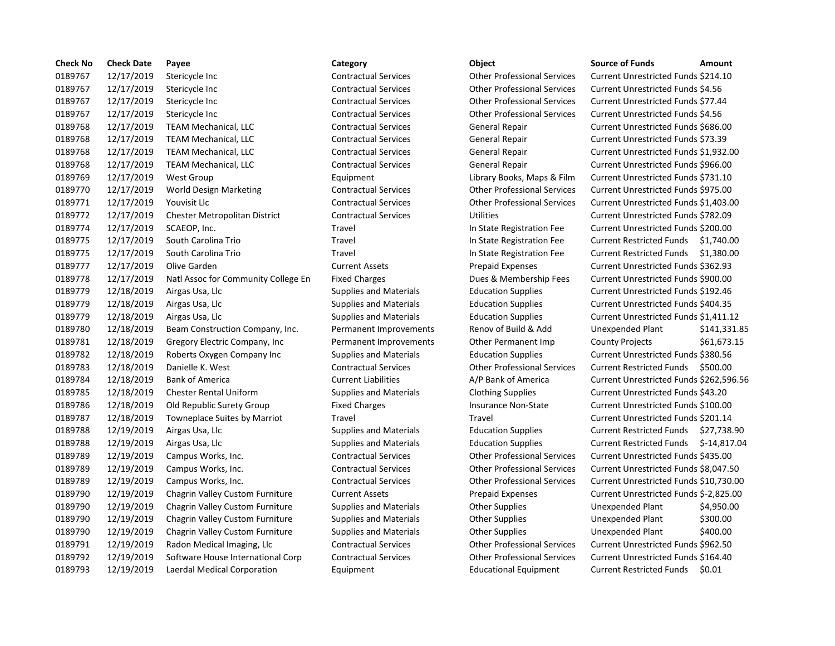| <b>Check No</b> | <b>Check Date</b> | Payee                               | Category                      | Object                             | <b>Source of Funds</b><br>Amount              |
|-----------------|-------------------|-------------------------------------|-------------------------------|------------------------------------|-----------------------------------------------|
| 0189767         | 12/17/2019        | Stericycle Inc                      | <b>Contractual Services</b>   | <b>Other Professional Services</b> | Current Unrestricted Funds \$214.10           |
| 0189767         | 12/17/2019        | Stericycle Inc                      | <b>Contractual Services</b>   | <b>Other Professional Services</b> | Current Unrestricted Funds \$4.56             |
| 0189767         | 12/17/2019        | Stericycle Inc                      | <b>Contractual Services</b>   | <b>Other Professional Services</b> | Current Unrestricted Funds \$77.44            |
| 0189767         | 12/17/2019        | Stericycle Inc                      | <b>Contractual Services</b>   | <b>Other Professional Services</b> | Current Unrestricted Funds \$4.56             |
| 0189768         | 12/17/2019        | <b>TEAM Mechanical, LLC</b>         | <b>Contractual Services</b>   | General Repair                     | Current Unrestricted Funds \$686.00           |
| 0189768         | 12/17/2019        | <b>TEAM Mechanical, LLC</b>         | <b>Contractual Services</b>   | <b>General Repair</b>              | Current Unrestricted Funds \$73.39            |
| 0189768         | 12/17/2019        | <b>TEAM Mechanical, LLC</b>         | <b>Contractual Services</b>   | <b>General Repair</b>              | Current Unrestricted Funds \$1,932.0          |
| 0189768         | 12/17/2019        | <b>TEAM Mechanical, LLC</b>         | <b>Contractual Services</b>   | General Repair                     | Current Unrestricted Funds \$966.00           |
| 0189769         | 12/17/2019        | West Group                          | Equipment                     | Library Books, Maps & Film         | Current Unrestricted Funds \$731.10           |
| 0189770         | 12/17/2019        | World Design Marketing              | <b>Contractual Services</b>   | <b>Other Professional Services</b> | Current Unrestricted Funds \$975.00           |
| 0189771         | 12/17/2019        | Youvisit Llc                        | <b>Contractual Services</b>   | <b>Other Professional Services</b> | Current Unrestricted Funds \$1,403.           |
| 0189772         | 12/17/2019        | Chester Metropolitan District       | <b>Contractual Services</b>   | <b>Utilities</b>                   | Current Unrestricted Funds \$782.09           |
| 0189774         | 12/17/2019        | SCAEOP, Inc.                        | Travel                        | In State Registration Fee          | Current Unrestricted Funds \$200.00           |
| 0189775         | 12/17/2019        | South Carolina Trio                 | Travel                        | In State Registration Fee          | <b>Current Restricted Funds</b><br>\$1,740.0  |
| 0189775         | 12/17/2019        | South Carolina Trio                 | Travel                        | In State Registration Fee          | <b>Current Restricted Funds</b><br>\$1,380.0  |
| 0189777         | 12/17/2019        | Olive Garden                        | <b>Current Assets</b>         | <b>Prepaid Expenses</b>            | Current Unrestricted Funds \$362.93           |
| 0189778         | 12/17/2019        | Natl Assoc for Community College En | <b>Fixed Charges</b>          | Dues & Membership Fees             | Current Unrestricted Funds \$900.00           |
| 0189779         | 12/18/2019        | Airgas Usa, Llc                     | <b>Supplies and Materials</b> | <b>Education Supplies</b>          | Current Unrestricted Funds \$192.46           |
| 0189779         | 12/18/2019        | Airgas Usa, Llc                     | <b>Supplies and Materials</b> | <b>Education Supplies</b>          | Current Unrestricted Funds \$404.35           |
| 0189779         | 12/18/2019        | Airgas Usa, Llc                     | <b>Supplies and Materials</b> | <b>Education Supplies</b>          | Current Unrestricted Funds \$1,411.1          |
| 0189780         | 12/18/2019        | Beam Construction Company, Inc.     | Permanent Improvements        | Renov of Build & Add               | Unexpended Plant<br>\$141,33                  |
| 0189781         | 12/18/2019        | Gregory Electric Company, Inc.      | Permanent Improvements        | Other Permanent Imp                | <b>County Projects</b><br>\$61,673            |
| 0189782         | 12/18/2019        | Roberts Oxygen Company Inc          | <b>Supplies and Materials</b> | <b>Education Supplies</b>          | Current Unrestricted Funds \$380.56           |
| 0189783         | 12/18/2019        | Danielle K. West                    | <b>Contractual Services</b>   | <b>Other Professional Services</b> | <b>Current Restricted Funds</b><br>\$500.00   |
| 0189784         | 12/18/2019        | <b>Bank of America</b>              | <b>Current Liabilities</b>    | A/P Bank of America                | Current Unrestricted Funds \$262,59           |
| 0189785         | 12/18/2019        | <b>Chester Rental Uniform</b>       | <b>Supplies and Materials</b> | <b>Clothing Supplies</b>           | Current Unrestricted Funds \$43.20            |
| 0189786         | 12/18/2019        | Old Republic Surety Group           | <b>Fixed Charges</b>          | <b>Insurance Non-State</b>         | Current Unrestricted Funds \$100.00           |
| 0189787         | 12/18/2019        | Towneplace Suites by Marriot        | Travel                        | Travel                             | Current Unrestricted Funds \$201.14           |
| 0189788         | 12/19/2019        | Airgas Usa, Llc                     | <b>Supplies and Materials</b> | <b>Education Supplies</b>          | <b>Current Restricted Funds</b><br>\$27,738   |
| 0189788         | 12/19/2019        | Airgas Usa, Llc                     | <b>Supplies and Materials</b> | <b>Education Supplies</b>          | <b>Current Restricted Funds</b><br>$$-14,81]$ |
| 0189789         | 12/19/2019        | Campus Works, Inc.                  | <b>Contractual Services</b>   | <b>Other Professional Services</b> | Current Unrestricted Funds \$435.00           |
| 0189789         | 12/19/2019        | Campus Works, Inc.                  | <b>Contractual Services</b>   | <b>Other Professional Services</b> | Current Unrestricted Funds \$8,047.5          |
| 0189789         | 12/19/2019        | Campus Works, Inc.                  | <b>Contractual Services</b>   | <b>Other Professional Services</b> | Current Unrestricted Funds \$10,730           |
| 0189790         | 12/19/2019        | Chagrin Valley Custom Furniture     | <b>Current Assets</b>         | <b>Prepaid Expenses</b>            | Current Unrestricted Funds \$-2,825.          |
| 0189790         | 12/19/2019        | Chagrin Valley Custom Furniture     | <b>Supplies and Materials</b> | <b>Other Supplies</b>              | Unexpended Plant<br>\$4,950.0                 |
| 0189790         | 12/19/2019        | Chagrin Valley Custom Furniture     | <b>Supplies and Materials</b> | <b>Other Supplies</b>              | \$300.00<br>Unexpended Plant                  |
| 0189790         | 12/19/2019        | Chagrin Valley Custom Furniture     | <b>Supplies and Materials</b> | <b>Other Supplies</b>              | \$400.00<br>Unexpended Plant                  |
| 0189791         | 12/19/2019        | Radon Medical Imaging, Llc          | <b>Contractual Services</b>   | <b>Other Professional Services</b> | Current Unrestricted Funds \$962.50           |
| 0189792         | 12/19/2019        | Software House International Corp   | <b>Contractual Services</b>   | <b>Other Professional Services</b> | Current Unrestricted Funds \$164.40           |
| 0189793         | 12/19/2019        | Laerdal Medical Corporation         | Equipment                     | <b>Educational Equipment</b>       | <b>Current Restricted Funds</b><br>\$0.01     |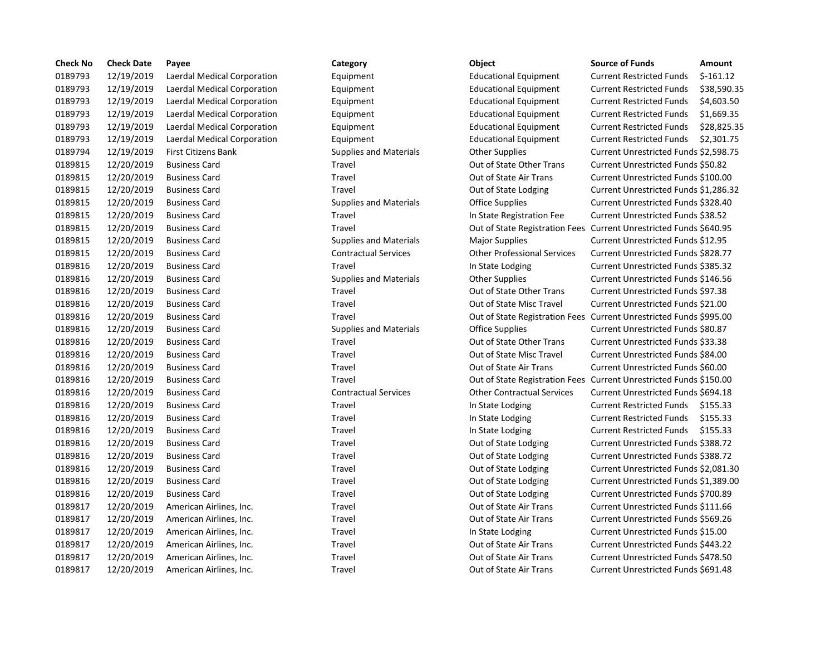| <b>Check No</b> | <b>Check Date</b> | Payee                       | Category                      | Object                                                             | <b>Source of Funds</b>               | Amount     |
|-----------------|-------------------|-----------------------------|-------------------------------|--------------------------------------------------------------------|--------------------------------------|------------|
| 0189793         | 12/19/2019        | Laerdal Medical Corporation | Equipment                     | <b>Educational Equipment</b>                                       | <b>Current Restricted Funds</b>      | $$-161.12$ |
| 0189793         | 12/19/2019        | Laerdal Medical Corporation | Equipment                     | <b>Educational Equipment</b>                                       | <b>Current Restricted Funds</b>      | \$38,590   |
| 0189793         | 12/19/2019        | Laerdal Medical Corporation | Equipment                     | <b>Educational Equipment</b>                                       | <b>Current Restricted Funds</b>      | \$4,603.5  |
| 0189793         | 12/19/2019        | Laerdal Medical Corporation | Equipment                     | <b>Educational Equipment</b>                                       | <b>Current Restricted Funds</b>      | \$1,669.3  |
| 0189793         | 12/19/2019        | Laerdal Medical Corporation | Equipment                     | <b>Educational Equipment</b>                                       | <b>Current Restricted Funds</b>      | \$28,825   |
| 0189793         | 12/19/2019        | Laerdal Medical Corporation | Equipment                     | <b>Educational Equipment</b>                                       | <b>Current Restricted Funds</b>      | \$2,301.7  |
| 0189794         | 12/19/2019        | <b>First Citizens Bank</b>  | Supplies and Materials        | <b>Other Supplies</b>                                              | Current Unrestricted Funds \$2,598.7 |            |
| 0189815         | 12/20/2019        | <b>Business Card</b>        | Travel                        | Out of State Other Trans                                           | Current Unrestricted Funds \$50.82   |            |
| 0189815         | 12/20/2019        | <b>Business Card</b>        | Travel                        | Out of State Air Trans                                             | Current Unrestricted Funds \$100.00  |            |
| 0189815         | 12/20/2019        | <b>Business Card</b>        | Travel                        | Out of State Lodging                                               | Current Unrestricted Funds \$1,286.3 |            |
| 0189815         | 12/20/2019        | <b>Business Card</b>        | <b>Supplies and Materials</b> | <b>Office Supplies</b>                                             | Current Unrestricted Funds \$328.40  |            |
| 0189815         | 12/20/2019        | <b>Business Card</b>        | Travel                        | In State Registration Fee                                          | Current Unrestricted Funds \$38.52   |            |
| 0189815         | 12/20/2019        | <b>Business Card</b>        | Travel                        | Out of State Registration Fees Current Unrestricted Funds \$640.95 |                                      |            |
| 0189815         | 12/20/2019        | <b>Business Card</b>        | <b>Supplies and Materials</b> | <b>Major Supplies</b>                                              | Current Unrestricted Funds \$12.95   |            |
| 0189815         | 12/20/2019        | <b>Business Card</b>        | <b>Contractual Services</b>   | <b>Other Professional Services</b>                                 | Current Unrestricted Funds \$828.77  |            |
| 0189816         | 12/20/2019        | <b>Business Card</b>        | Travel                        | In State Lodging                                                   | Current Unrestricted Funds \$385.32  |            |
| 0189816         | 12/20/2019        | <b>Business Card</b>        | <b>Supplies and Materials</b> | <b>Other Supplies</b>                                              | Current Unrestricted Funds \$146.56  |            |
| 0189816         | 12/20/2019        | <b>Business Card</b>        | Travel                        | Out of State Other Trans                                           | Current Unrestricted Funds \$97.38   |            |
| 0189816         | 12/20/2019        | <b>Business Card</b>        | Travel                        | Out of State Misc Travel                                           | Current Unrestricted Funds \$21.00   |            |
| 0189816         | 12/20/2019        | <b>Business Card</b>        | Travel                        | Out of State Registration Fees Current Unrestricted Funds \$995.00 |                                      |            |
| 0189816         | 12/20/2019        | <b>Business Card</b>        | <b>Supplies and Materials</b> | <b>Office Supplies</b>                                             | Current Unrestricted Funds \$80.87   |            |
| 0189816         | 12/20/2019        | <b>Business Card</b>        | Travel                        | Out of State Other Trans                                           | Current Unrestricted Funds \$33.38   |            |
| 0189816         | 12/20/2019        | <b>Business Card</b>        | Travel                        | Out of State Misc Travel                                           | Current Unrestricted Funds \$84.00   |            |
| 0189816         | 12/20/2019        | <b>Business Card</b>        | Travel                        | Out of State Air Trans                                             | Current Unrestricted Funds \$60.00   |            |
| 0189816         | 12/20/2019        | <b>Business Card</b>        | Travel                        | Out of State Registration Fees Current Unrestricted Funds \$150.00 |                                      |            |
| 0189816         | 12/20/2019        | <b>Business Card</b>        | <b>Contractual Services</b>   | <b>Other Contractual Services</b>                                  | Current Unrestricted Funds \$694.18  |            |
| 0189816         | 12/20/2019        | <b>Business Card</b>        | Travel                        | In State Lodging                                                   | <b>Current Restricted Funds</b>      | \$155.33   |
| 0189816         | 12/20/2019        | <b>Business Card</b>        | Travel                        | In State Lodging                                                   | <b>Current Restricted Funds</b>      | \$155.33   |
| 0189816         | 12/20/2019        | <b>Business Card</b>        | Travel                        | In State Lodging                                                   | <b>Current Restricted Funds</b>      | \$155.33   |
| 0189816         | 12/20/2019        | <b>Business Card</b>        | Travel                        | Out of State Lodging                                               | Current Unrestricted Funds \$388.72  |            |
| 0189816         | 12/20/2019        | <b>Business Card</b>        | Travel                        | Out of State Lodging                                               | Current Unrestricted Funds \$388.72  |            |
| 0189816         | 12/20/2019        | <b>Business Card</b>        | Travel                        | Out of State Lodging                                               | Current Unrestricted Funds \$2,081.3 |            |
| 0189816         | 12/20/2019        | <b>Business Card</b>        | Travel                        | Out of State Lodging                                               | Current Unrestricted Funds \$1,389.0 |            |
| 0189816         | 12/20/2019        | <b>Business Card</b>        | Travel                        | Out of State Lodging                                               | Current Unrestricted Funds \$700.89  |            |
| 0189817         | 12/20/2019        | American Airlines, Inc.     | Travel                        | Out of State Air Trans                                             | Current Unrestricted Funds \$111.66  |            |
| 0189817         | 12/20/2019        | American Airlines, Inc.     | Travel                        | Out of State Air Trans                                             | Current Unrestricted Funds \$569.26  |            |
| 0189817         | 12/20/2019        | American Airlines, Inc.     | Travel                        | In State Lodging                                                   | Current Unrestricted Funds \$15.00   |            |
| 0189817         | 12/20/2019        | American Airlines, Inc.     | Travel                        | Out of State Air Trans                                             | Current Unrestricted Funds \$443.22  |            |
| 0189817         | 12/20/2019        | American Airlines, Inc.     | Travel                        | Out of State Air Trans                                             | Current Unrestricted Funds \$478.50  |            |
| 0189817         | 12/20/2019        | American Airlines, Inc.     | Travel                        | Out of State Air Trans                                             | Current Unrestricted Funds \$691.48  |            |

## 01893 12/19/2019 12/19/2019 Lagrange Educational Equipment Current Restricted Funds \$-161.12 n 12.037 12.1979 Equipment Educational Equipment Current Restricted Funds \$38,590.35 n 12.1979 Equipment Educational Equipment Current Restricted Funds \$4,603.50 0189791 12/19/2019 12/19/2019 Lagradia Medicational Equipment Current Restricted Funds \$1,669.35 n 12.1979 Equipment Educational Equipment Current Restricted Funds 528,825.35 on and Equipment Educational Equipment Current Restricted Funds \$2,301.75 Supplies and Materials **Fig. 2018** Other Supplies **Current Unrestricted Funds \$2,598.75** 0189815 12/20/2019 Business Card Travel Out of State Other Trans Current Unrestricted Funds \$50.82 0189815 12/20/2019 Business Card Travel Out of State Air Trans Current Unrestricted Funds \$100.00 Travel **120816 12021 12/2019 Current Unrestricted Funds \$1,286.32** Current Unrestricted Funds \$1,286.32 Supplies and Materials **12019 Contract Current Current Unrestricted Funds \$328.40** 0189815 12/20/2019 Business Card Travel In State Registration Fee Current Unrestricted Funds \$38.52 0189815 12/20/2019 Business Card Travel Out of State Registration Fees Current Unrestricted Funds \$640.95 0189815 12/20/2019 Business Card Supplies and Materials Major Supplies Current Unrestricted Funds \$12.95 0189815 12/20/2019 Business Card Contractual Services Other Professional Services Current Unrestricted Funds \$828.77 Travel **1208** In State Lodging Current Unrestricted Funds \$385.32 Supplies and Materials **Current Current Current Unrestricted Funds \$146.56** Supplies Current Unrestricted Funds \$146.56 0189816 12/20/2019 Business Card Travel Out of State Other Trans Current Unrestricted Funds \$97.38 0189816 12/20/2019 Business Card Travel Out of State Misc Travel Current Unrestricted Funds \$21.00 0189816 12/20/2019 Business Card Travel Out of State Registration Fees Current Unrestricted Funds \$995.00 Supplies and Materials **12.2019 Business Contract Supplies** Current Unrestricted Funds \$80.87 0189816 12/20/2019 Business Card Travel Out of State Other Trans Current Unrestricted Funds \$33.38 0189816 12/20/2019 Business Card Travel Out of State Misc Travel Current Unrestricted Funds \$84.00 0189816 12/20/2019 Business Card Travel Out of State Air Trans Current Unrestricted Funds \$60.00 0189816 12/20/2019 Business Card Travel Out of State Registration Fees Current Unrestricted Funds \$150.00 0189816 12/20/2019 Business Card Contractual Services Other Contractual Services Current Unrestricted Funds \$694.18 0189816 12/20/2019 Business Card Travel In State Lodging Current Restricted Funds \$155.33 Travel **1208816 120816 120816 120816 120816 120816 12082** Current Restricted Funds \$155.33 0189816 12/20/2019 Business Card Travel In State Lodging Current Restricted Funds \$155.33 0189816 12/20/2019 Business Card Travel Out of State Lodging Current Unrestricted Funds \$388.72 0189816 12/20/2019 Business Card Travel Out of State Lodging Current Unrestricted Funds \$388.72 Travel **1208** 1201 12018 12019 12018 12018 Current Unrestricted Funds \$2,081.30 Travel **1208** 1201 12016 12019 Dut of State Lodging Current Unrestricted Funds \$1,389.00 Travel **1208** 1201 12016 12016 12018 12018 Business Current Unrestricted Funds \$700.89 Travel **1208** 2018 **Current Airlines, Inc. 2018** Airlines, Inc. Travel Out of State Air Trans Current Unrestricted Funds \$111.66 Travel **1208** 1201 12019 American Airlines, Inc. Travel Out of State Air Trans Current Unrestricted Funds \$569.26 Travel **1208** 101891 12020 American Aircreas Airlines, Inc. State Lodging Current Unrestricted Funds \$15.00 Travel **1208** 1201 12019 American Airlines, Inc. Travel Out of State Air Trans Current Unrestricted Funds \$443.22 Travel **1208** 1201 12019 American Airlines, Inc. Travel Out of State Air Trans Current Unrestricted Funds \$478.50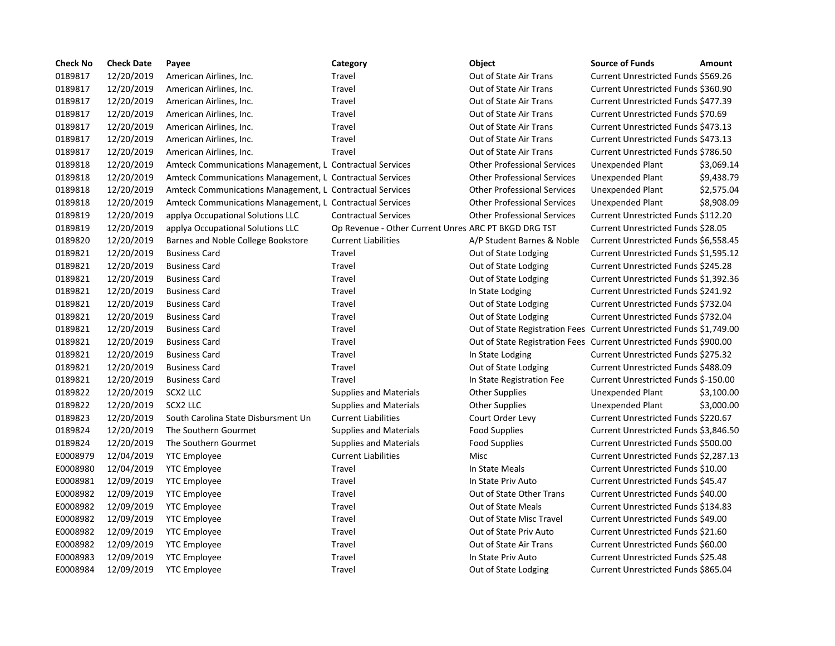| <b>Check No</b> | <b>Check Date</b> | Payee                                                    | Category                                             | Object                                                               | <b>Source of Funds</b>                | Amount     |
|-----------------|-------------------|----------------------------------------------------------|------------------------------------------------------|----------------------------------------------------------------------|---------------------------------------|------------|
| 0189817         | 12/20/2019        | American Airlines, Inc.                                  | Travel                                               | Out of State Air Trans                                               | Current Unrestricted Funds \$569.26   |            |
| 0189817         | 12/20/2019        | American Airlines, Inc.                                  | Travel                                               | Out of State Air Trans                                               | Current Unrestricted Funds \$360.90   |            |
| 0189817         | 12/20/2019        | American Airlines, Inc.                                  | Travel                                               | Out of State Air Trans                                               | Current Unrestricted Funds \$477.39   |            |
| 0189817         | 12/20/2019        | American Airlines, Inc.                                  | Travel                                               | Out of State Air Trans                                               | Current Unrestricted Funds \$70.69    |            |
| 0189817         | 12/20/2019        | American Airlines, Inc.                                  | Travel                                               | Out of State Air Trans                                               | Current Unrestricted Funds \$473.13   |            |
| 0189817         | 12/20/2019        | American Airlines, Inc.                                  | Travel                                               | Out of State Air Trans                                               | Current Unrestricted Funds \$473.13   |            |
| 0189817         | 12/20/2019        | American Airlines, Inc.                                  | Travel                                               | Out of State Air Trans                                               | Current Unrestricted Funds \$786.50   |            |
| 0189818         | 12/20/2019        | Amteck Communications Management, L Contractual Services |                                                      | <b>Other Professional Services</b>                                   | Unexpended Plant                      | \$3,069.14 |
| 0189818         | 12/20/2019        | Amteck Communications Management, L Contractual Services |                                                      | <b>Other Professional Services</b>                                   | Unexpended Plant                      | \$9,438.79 |
| 0189818         | 12/20/2019        | Amteck Communications Management, L Contractual Services |                                                      | <b>Other Professional Services</b>                                   | Unexpended Plant                      | \$2,575.04 |
| 0189818         | 12/20/2019        | Amteck Communications Management, L Contractual Services |                                                      | <b>Other Professional Services</b>                                   | Unexpended Plant                      | \$8,908.09 |
| 0189819         | 12/20/2019        | applya Occupational Solutions LLC                        | <b>Contractual Services</b>                          | <b>Other Professional Services</b>                                   | Current Unrestricted Funds \$112.20   |            |
| 0189819         | 12/20/2019        | applya Occupational Solutions LLC                        | Op Revenue - Other Current Unres ARC PT BKGD DRG TST |                                                                      | Current Unrestricted Funds \$28.05    |            |
| 0189820         | 12/20/2019        | Barnes and Noble College Bookstore                       | <b>Current Liabilities</b>                           | A/P Student Barnes & Noble                                           | Current Unrestricted Funds \$6,558.45 |            |
| 0189821         | 12/20/2019        | <b>Business Card</b>                                     | Travel                                               | Out of State Lodging                                                 | Current Unrestricted Funds \$1,595.12 |            |
| 0189821         | 12/20/2019        | <b>Business Card</b>                                     | Travel                                               | Out of State Lodging                                                 | Current Unrestricted Funds \$245.28   |            |
| 0189821         | 12/20/2019        | <b>Business Card</b>                                     | Travel                                               | Out of State Lodging                                                 | Current Unrestricted Funds \$1,392.36 |            |
| 0189821         | 12/20/2019        | <b>Business Card</b>                                     | Travel                                               | In State Lodging                                                     | Current Unrestricted Funds \$241.92   |            |
| 0189821         | 12/20/2019        | <b>Business Card</b>                                     | Travel                                               | Out of State Lodging                                                 | Current Unrestricted Funds \$732.04   |            |
| 0189821         | 12/20/2019        | <b>Business Card</b>                                     | Travel                                               | Out of State Lodging                                                 | Current Unrestricted Funds \$732.04   |            |
| 0189821         | 12/20/2019        | <b>Business Card</b>                                     | Travel                                               | Out of State Registration Fees Current Unrestricted Funds \$1,749.00 |                                       |            |
| 0189821         | 12/20/2019        | <b>Business Card</b>                                     | Travel                                               | Out of State Registration Fees Current Unrestricted Funds \$900.00   |                                       |            |
| 0189821         | 12/20/2019        | <b>Business Card</b>                                     | Travel                                               | In State Lodging                                                     | Current Unrestricted Funds \$275.32   |            |
| 0189821         | 12/20/2019        | <b>Business Card</b>                                     | Travel                                               | Out of State Lodging                                                 | Current Unrestricted Funds \$488.09   |            |
| 0189821         | 12/20/2019        | <b>Business Card</b>                                     | Travel                                               | In State Registration Fee                                            | Current Unrestricted Funds \$-150.00  |            |
| 0189822         | 12/20/2019        | SCX2 LLC                                                 | <b>Supplies and Materials</b>                        | <b>Other Supplies</b>                                                | <b>Unexpended Plant</b>               | \$3,100.00 |
| 0189822         | 12/20/2019        | SCX2 LLC                                                 | <b>Supplies and Materials</b>                        | <b>Other Supplies</b>                                                | Unexpended Plant                      | \$3,000.00 |
| 0189823         | 12/20/2019        | South Carolina State Disbursment Un                      | <b>Current Liabilities</b>                           | Court Order Levy                                                     | Current Unrestricted Funds \$220.67   |            |
| 0189824         | 12/20/2019        | The Southern Gourmet                                     | <b>Supplies and Materials</b>                        | <b>Food Supplies</b>                                                 | Current Unrestricted Funds \$3,846.50 |            |
| 0189824         | 12/20/2019        | The Southern Gourmet                                     | <b>Supplies and Materials</b>                        | <b>Food Supplies</b>                                                 | Current Unrestricted Funds \$500.00   |            |
| E0008979        | 12/04/2019        | <b>YTC Employee</b>                                      | <b>Current Liabilities</b>                           | Misc                                                                 | Current Unrestricted Funds \$2,287.13 |            |
| E0008980        | 12/04/2019        | <b>YTC Employee</b>                                      | Travel                                               | In State Meals                                                       | Current Unrestricted Funds \$10.00    |            |
| E0008981        | 12/09/2019        | <b>YTC Employee</b>                                      | Travel                                               | In State Priv Auto                                                   | Current Unrestricted Funds \$45.47    |            |
| E0008982        | 12/09/2019        | <b>YTC Employee</b>                                      | Travel                                               | Out of State Other Trans                                             | Current Unrestricted Funds \$40.00    |            |
| E0008982        | 12/09/2019        | <b>YTC Employee</b>                                      | Travel                                               | <b>Out of State Meals</b>                                            | Current Unrestricted Funds \$134.83   |            |
| E0008982        | 12/09/2019        | <b>YTC Employee</b>                                      | Travel                                               | Out of State Misc Travel                                             | Current Unrestricted Funds \$49.00    |            |
| E0008982        | 12/09/2019        | <b>YTC Employee</b>                                      | Travel                                               | Out of State Priv Auto                                               | Current Unrestricted Funds \$21.60    |            |
| E0008982        | 12/09/2019        | <b>YTC Employee</b>                                      | Travel                                               | Out of State Air Trans                                               | Current Unrestricted Funds \$60.00    |            |
| E0008983        | 12/09/2019        | <b>YTC Employee</b>                                      | Travel                                               | In State Priv Auto                                                   | Current Unrestricted Funds \$25.48    |            |
| E0008984        | 12/09/2019        | <b>YTC Employee</b>                                      | Travel                                               | Out of State Lodging                                                 | Current Unrestricted Funds \$865.04   |            |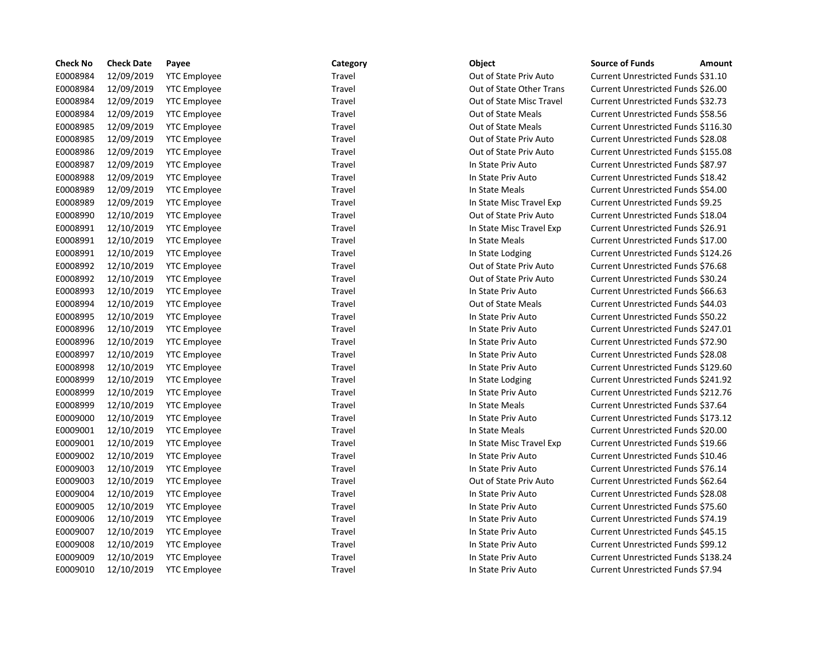| <b>Check No</b> | <b>Check Date</b> | Payee               | Category | Object                    | <b>Source of Funds</b><br>Amount    |
|-----------------|-------------------|---------------------|----------|---------------------------|-------------------------------------|
| E0008984        | 12/09/2019        | <b>YTC Employee</b> | Travel   | Out of State Priv Auto    | Current Unrestricted Funds \$31.10  |
| E0008984        | 12/09/2019        | <b>YTC Employee</b> | Travel   | Out of State Other Trans  | Current Unrestricted Funds \$26.00  |
| E0008984        | 12/09/2019        | <b>YTC Employee</b> | Travel   | Out of State Misc Travel  | Current Unrestricted Funds \$32.73  |
| E0008984        | 12/09/2019        | <b>YTC Employee</b> | Travel   | Out of State Meals        | Current Unrestricted Funds \$58.56  |
| E0008985        | 12/09/2019        | <b>YTC Employee</b> | Travel   | <b>Out of State Meals</b> | Current Unrestricted Funds \$116.30 |
| E0008985        | 12/09/2019        | <b>YTC Employee</b> | Travel   | Out of State Priv Auto    | Current Unrestricted Funds \$28.08  |
| E0008986        | 12/09/2019        | <b>YTC Employee</b> | Travel   | Out of State Priv Auto    | Current Unrestricted Funds \$155.08 |
| E0008987        | 12/09/2019        | <b>YTC Employee</b> | Travel   | In State Priv Auto        | Current Unrestricted Funds \$87.97  |
| E0008988        | 12/09/2019        | <b>YTC Employee</b> | Travel   | In State Priv Auto        | Current Unrestricted Funds \$18.42  |
| E0008989        | 12/09/2019        | <b>YTC Employee</b> | Travel   | In State Meals            | Current Unrestricted Funds \$54.00  |
| E0008989        | 12/09/2019        | <b>YTC Employee</b> | Travel   | In State Misc Travel Exp  | Current Unrestricted Funds \$9.25   |
| E0008990        | 12/10/2019        | <b>YTC Employee</b> | Travel   | Out of State Priv Auto    | Current Unrestricted Funds \$18.04  |
| E0008991        | 12/10/2019        | <b>YTC Employee</b> | Travel   | In State Misc Travel Exp  | Current Unrestricted Funds \$26.91  |
| E0008991        | 12/10/2019        | <b>YTC Employee</b> | Travel   | In State Meals            | Current Unrestricted Funds \$17.00  |
| E0008991        | 12/10/2019        | <b>YTC Employee</b> | Travel   | In State Lodging          | Current Unrestricted Funds \$124.26 |
| E0008992        | 12/10/2019        | <b>YTC Employee</b> | Travel   | Out of State Priv Auto    | Current Unrestricted Funds \$76.68  |
| E0008992        | 12/10/2019        | <b>YTC Employee</b> | Travel   | Out of State Priv Auto    | Current Unrestricted Funds \$30.24  |
| E0008993        | 12/10/2019        | <b>YTC Employee</b> | Travel   | In State Priv Auto        | Current Unrestricted Funds \$66.63  |
| E0008994        | 12/10/2019        | <b>YTC Employee</b> | Travel   | <b>Out of State Meals</b> | Current Unrestricted Funds \$44.03  |
| E0008995        | 12/10/2019        | <b>YTC Employee</b> | Travel   | In State Priv Auto        | Current Unrestricted Funds \$50.22  |
| E0008996        | 12/10/2019        | <b>YTC Employee</b> | Travel   | In State Priv Auto        | Current Unrestricted Funds \$247.01 |
| E0008996        | 12/10/2019        | <b>YTC Employee</b> | Travel   | In State Priv Auto        | Current Unrestricted Funds \$72.90  |
| E0008997        | 12/10/2019        | <b>YTC Employee</b> | Travel   | In State Priv Auto        | Current Unrestricted Funds \$28.08  |
| E0008998        | 12/10/2019        | <b>YTC Employee</b> | Travel   | In State Priv Auto        | Current Unrestricted Funds \$129.60 |
| E0008999        | 12/10/2019        | <b>YTC Employee</b> | Travel   | In State Lodging          | Current Unrestricted Funds \$241.92 |
| E0008999        | 12/10/2019        | <b>YTC Employee</b> | Travel   | In State Priv Auto        | Current Unrestricted Funds \$212.76 |
| E0008999        | 12/10/2019        | <b>YTC Employee</b> | Travel   | In State Meals            | Current Unrestricted Funds \$37.64  |
| E0009000        | 12/10/2019        | <b>YTC Employee</b> | Travel   | In State Priv Auto        | Current Unrestricted Funds \$173.12 |
| E0009001        | 12/10/2019        | <b>YTC Employee</b> | Travel   | In State Meals            | Current Unrestricted Funds \$20.00  |
| E0009001        | 12/10/2019        | <b>YTC Employee</b> | Travel   | In State Misc Travel Exp  | Current Unrestricted Funds \$19.66  |
| E0009002        | 12/10/2019        | <b>YTC Employee</b> | Travel   | In State Priv Auto        | Current Unrestricted Funds \$10.46  |
| E0009003        | 12/10/2019        | <b>YTC Employee</b> | Travel   | In State Priv Auto        | Current Unrestricted Funds \$76.14  |
| E0009003        | 12/10/2019        | <b>YTC Employee</b> | Travel   | Out of State Priv Auto    | Current Unrestricted Funds \$62.64  |
| E0009004        | 12/10/2019        | <b>YTC Employee</b> | Travel   | In State Priv Auto        | Current Unrestricted Funds \$28.08  |
| E0009005        | 12/10/2019        | <b>YTC Employee</b> | Travel   | In State Priv Auto        | Current Unrestricted Funds \$75.60  |
| E0009006        | 12/10/2019        | <b>YTC Employee</b> | Travel   | In State Priv Auto        | Current Unrestricted Funds \$74.19  |
| E0009007        | 12/10/2019        | <b>YTC Employee</b> | Travel   | In State Priv Auto        | Current Unrestricted Funds \$45.15  |
| E0009008        | 12/10/2019        | <b>YTC Employee</b> | Travel   | In State Priv Auto        | Current Unrestricted Funds \$99.12  |
| E0009009        | 12/10/2019        | <b>YTC Employee</b> | Travel   | In State Priv Auto        | Current Unrestricted Funds \$138.24 |
| E0009010        | 12/10/2019        | <b>YTC Employee</b> | Travel   | In State Priv Auto        | Current Unrestricted Funds \$7.94   |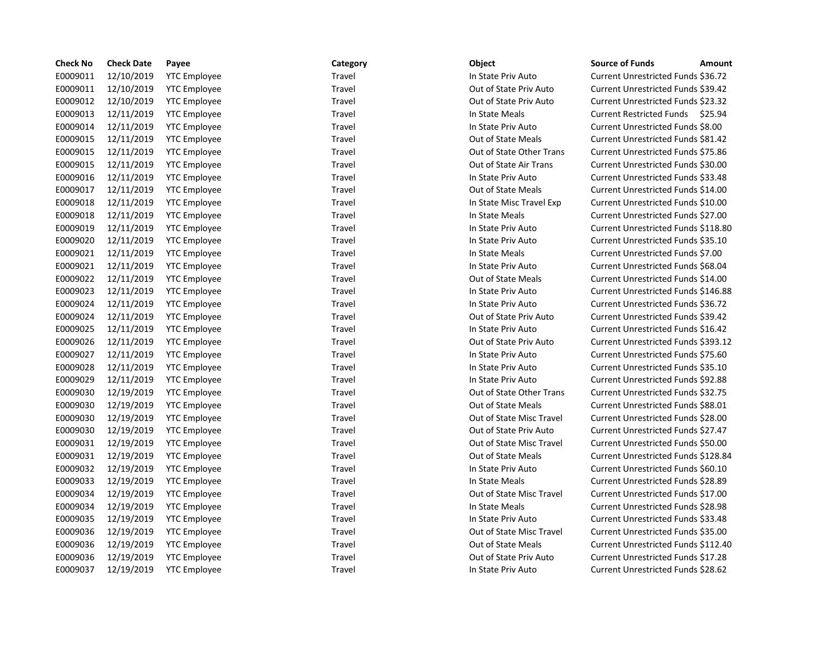| <b>Check No</b> | <b>Check Date</b> | Payee               | Category | Object                   | <b>Source of Funds</b><br>Amount    |
|-----------------|-------------------|---------------------|----------|--------------------------|-------------------------------------|
| E0009011        | 12/10/2019        | <b>YTC Employee</b> | Travel   | In State Priv Auto       | Current Unrestricted Funds \$36.72  |
| E0009011        | 12/10/2019        | <b>YTC Employee</b> | Travel   | Out of State Priv Auto   | Current Unrestricted Funds \$39.42  |
| E0009012        | 12/10/2019        | <b>YTC Employee</b> | Travel   | Out of State Priv Auto   | Current Unrestricted Funds \$23.32  |
| E0009013        | 12/11/2019        | <b>YTC Employee</b> | Travel   | In State Meals           | Current Restricted Funds \$25.94    |
| E0009014        | 12/11/2019        | <b>YTC Employee</b> | Travel   | In State Priv Auto       | Current Unrestricted Funds \$8.00   |
| E0009015        | 12/11/2019        | <b>YTC Employee</b> | Travel   | Out of State Meals       | Current Unrestricted Funds \$81.42  |
| E0009015        | 12/11/2019        | <b>YTC Employee</b> | Travel   | Out of State Other Trans | Current Unrestricted Funds \$75.86  |
| E0009015        | 12/11/2019        | <b>YTC Employee</b> | Travel   | Out of State Air Trans   | Current Unrestricted Funds \$30.00  |
| E0009016        | 12/11/2019        | <b>YTC Employee</b> | Travel   | In State Priv Auto       | Current Unrestricted Funds \$33.48  |
| E0009017        | 12/11/2019        | <b>YTC Employee</b> | Travel   | Out of State Meals       | Current Unrestricted Funds \$14.00  |
| E0009018        | 12/11/2019        | <b>YTC Employee</b> | Travel   | In State Misc Travel Exp | Current Unrestricted Funds \$10.00  |
| E0009018        | 12/11/2019        | <b>YTC Employee</b> | Travel   | In State Meals           | Current Unrestricted Funds \$27.00  |
| E0009019        | 12/11/2019        | <b>YTC Employee</b> | Travel   | In State Priv Auto       | Current Unrestricted Funds \$118.80 |
| E0009020        | 12/11/2019        | <b>YTC Employee</b> | Travel   | In State Priv Auto       | Current Unrestricted Funds \$35.10  |
| E0009021        | 12/11/2019        | <b>YTC Employee</b> | Travel   | In State Meals           | Current Unrestricted Funds \$7.00   |
| E0009021        | 12/11/2019        | <b>YTC Employee</b> | Travel   | In State Priv Auto       | Current Unrestricted Funds \$68.04  |
| E0009022        | 12/11/2019        | <b>YTC Employee</b> | Travel   | Out of State Meals       | Current Unrestricted Funds \$14.00  |
| E0009023        | 12/11/2019        | <b>YTC Employee</b> | Travel   | In State Priv Auto       | Current Unrestricted Funds \$146.88 |
| E0009024        | 12/11/2019        | <b>YTC Employee</b> | Travel   | In State Priv Auto       | Current Unrestricted Funds \$36.72  |
| E0009024        | 12/11/2019        | <b>YTC Employee</b> | Travel   | Out of State Priv Auto   | Current Unrestricted Funds \$39.42  |
| E0009025        | 12/11/2019        | <b>YTC Employee</b> | Travel   | In State Priv Auto       | Current Unrestricted Funds \$16.42  |
| E0009026        | 12/11/2019        | <b>YTC Employee</b> | Travel   | Out of State Priv Auto   | Current Unrestricted Funds \$393.12 |
| E0009027        | 12/11/2019        | <b>YTC Employee</b> | Travel   | In State Priv Auto       | Current Unrestricted Funds \$75.60  |
| E0009028        | 12/11/2019        | <b>YTC Employee</b> | Travel   | In State Priv Auto       | Current Unrestricted Funds \$35.10  |
| E0009029        | 12/11/2019        | <b>YTC Employee</b> | Travel   | In State Priv Auto       | Current Unrestricted Funds \$92.88  |
| E0009030        | 12/19/2019        | <b>YTC Employee</b> | Travel   | Out of State Other Trans | Current Unrestricted Funds \$32.75  |
| E0009030        | 12/19/2019        | <b>YTC Employee</b> | Travel   | Out of State Meals       | Current Unrestricted Funds \$88.01  |
| E0009030        | 12/19/2019        | <b>YTC Employee</b> | Travel   | Out of State Misc Travel | Current Unrestricted Funds \$28.00  |
| E0009030        | 12/19/2019        | <b>YTC Employee</b> | Travel   | Out of State Priv Auto   | Current Unrestricted Funds \$27.47  |
| E0009031        | 12/19/2019        | <b>YTC Employee</b> | Travel   | Out of State Misc Travel | Current Unrestricted Funds \$50.00  |
| E0009031        | 12/19/2019        | <b>YTC Employee</b> | Travel   | Out of State Meals       | Current Unrestricted Funds \$128.84 |
| E0009032        | 12/19/2019        | <b>YTC Employee</b> | Travel   | In State Priv Auto       | Current Unrestricted Funds \$60.10  |
| E0009033        | 12/19/2019        | <b>YTC Employee</b> | Travel   | In State Meals           | Current Unrestricted Funds \$28.89  |
| E0009034        | 12/19/2019        | <b>YTC Employee</b> | Travel   | Out of State Misc Travel | Current Unrestricted Funds \$17.00  |
| E0009034        | 12/19/2019        | <b>YTC Employee</b> | Travel   | In State Meals           | Current Unrestricted Funds \$28.98  |
| E0009035        | 12/19/2019        | <b>YTC Employee</b> | Travel   | In State Priv Auto       | Current Unrestricted Funds \$33.48  |
| E0009036        | 12/19/2019        | <b>YTC Employee</b> | Travel   | Out of State Misc Travel | Current Unrestricted Funds \$35.00  |
| E0009036        | 12/19/2019        | <b>YTC Employee</b> | Travel   | Out of State Meals       | Current Unrestricted Funds \$112.40 |
| E0009036        | 12/19/2019        | <b>YTC Employee</b> | Travel   | Out of State Priv Auto   | Current Unrestricted Funds \$17.28  |
| E0009037        | 12/19/2019        | <b>YTC Employee</b> | Travel   | In State Priv Auto       | Current Unrestricted Funds \$28.62  |